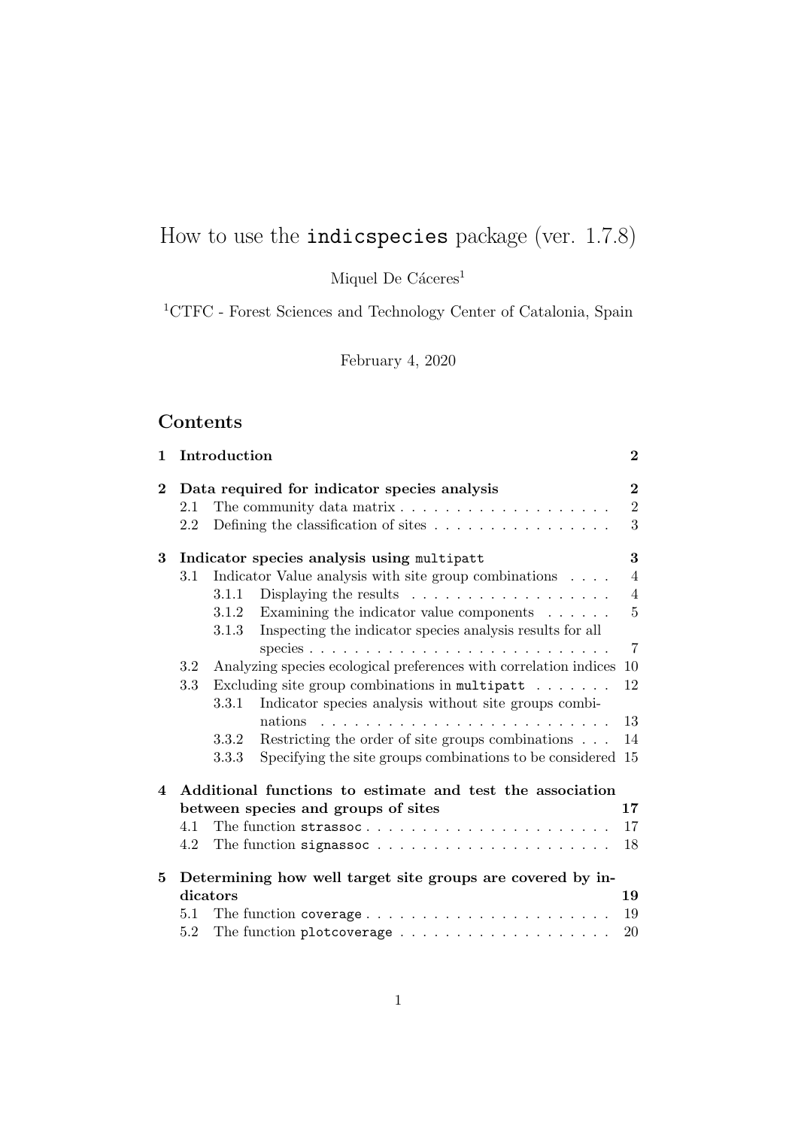# How to use the indicspecies package (ver. 1.7.8)

Miquel De Cáceres<sup>1</sup>

 $\mathrm{^{1}CTFC}$  - Forest Sciences and Technology Center of Catalonia, Spain

February 4, 2020

# Contents

| 1                                                        |         | Introduction |                                                                      | $\bf{2}$       |  |  |
|----------------------------------------------------------|---------|--------------|----------------------------------------------------------------------|----------------|--|--|
| Data required for indicator species analysis<br>$\bf{2}$ |         |              |                                                                      |                |  |  |
|                                                          | 2.1     |              |                                                                      | $\sqrt{2}$     |  |  |
|                                                          | 2.2     |              | Defining the classification of sites $\dots \dots \dots \dots \dots$ | 3              |  |  |
| 3                                                        |         |              | Indicator species analysis using multipatt                           | 3              |  |  |
|                                                          | 3.1     |              | Indicator Value analysis with site group combinations                | $\overline{4}$ |  |  |
|                                                          |         | 3.1.1        | Displaying the results $\dots \dots \dots \dots \dots \dots$         | $\overline{4}$ |  |  |
|                                                          |         | 3.1.2        | Examining the indicator value components $\ldots \ldots$             | $\overline{5}$ |  |  |
|                                                          |         | 3.1.3        | Inspecting the indicator species analysis results for all            |                |  |  |
|                                                          |         |              |                                                                      | $\overline{7}$ |  |  |
|                                                          | 3.2     |              | Analyzing species ecological preferences with correlation indices    | 10             |  |  |
|                                                          | 3.3     |              | Excluding site group combinations in multipatt $\ldots \ldots$       | 12             |  |  |
|                                                          |         | 3.3.1        | Indicator species analysis without site groups combi-                |                |  |  |
|                                                          |         |              | nations                                                              | 13             |  |  |
|                                                          |         | 3.3.2        | Restricting the order of site groups combinations                    | 14             |  |  |
|                                                          |         | 3.3.3        | Specifying the site groups combinations to be considered 15          |                |  |  |
| $\overline{\mathbf{4}}$                                  |         |              | Additional functions to estimate and test the association            |                |  |  |
|                                                          |         |              | between species and groups of sites                                  | 17             |  |  |
|                                                          | 4.1     |              |                                                                      | 17             |  |  |
|                                                          | 4.2     |              |                                                                      | 18             |  |  |
| 5                                                        |         |              | Determining how well target site groups are covered by in-           |                |  |  |
|                                                          |         | dicators     |                                                                      | 19             |  |  |
|                                                          | 5.1     |              | The function coverage                                                | 19             |  |  |
|                                                          | $5.2\,$ |              |                                                                      | 20             |  |  |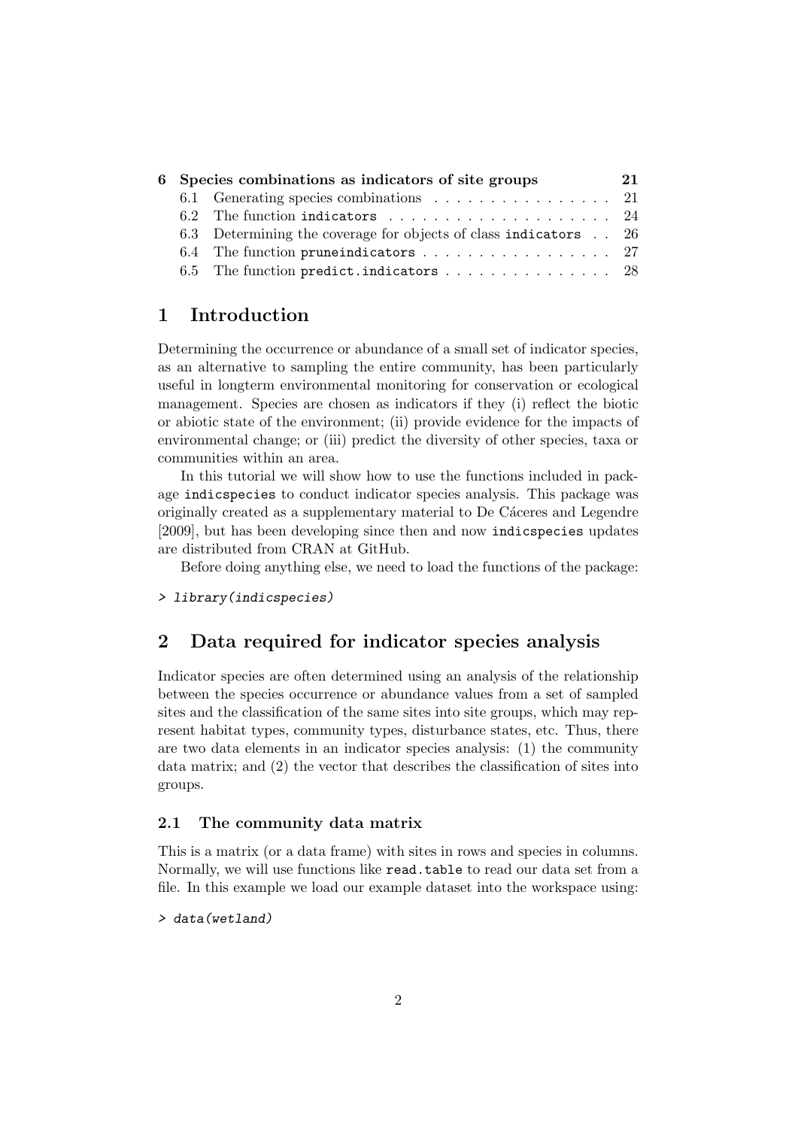| 6 Species combinations as indicators of site groups |                                                                            |  |  |  |  |  |  |
|-----------------------------------------------------|----------------------------------------------------------------------------|--|--|--|--|--|--|
|                                                     | 6.1 Generating species combinations 21                                     |  |  |  |  |  |  |
|                                                     | 6.2 The function indicators $\ldots \ldots \ldots \ldots \ldots \ldots 24$ |  |  |  |  |  |  |
|                                                     | 6.3 Determining the coverage for objects of class indicators 26            |  |  |  |  |  |  |
|                                                     |                                                                            |  |  |  |  |  |  |
|                                                     | 6.5 The function predict.indicators  28                                    |  |  |  |  |  |  |

# 1 Introduction

Determining the occurrence or abundance of a small set of indicator species, as an alternative to sampling the entire community, has been particularly useful in longterm environmental monitoring for conservation or ecological management. Species are chosen as indicators if they (i) reflect the biotic or abiotic state of the environment; (ii) provide evidence for the impacts of environmental change; or (iii) predict the diversity of other species, taxa or communities within an area.

In this tutorial we will show how to use the functions included in package indicspecies to conduct indicator species analysis. This package was originally created as a supplementary material to De Cáceres and Legendre [2009], but has been developing since then and now indicspecies updates are distributed from CRAN at GitHub.

Before doing anything else, we need to load the functions of the package:

> library(indicspecies)

# 2 Data required for indicator species analysis

Indicator species are often determined using an analysis of the relationship between the species occurrence or abundance values from a set of sampled sites and the classification of the same sites into site groups, which may represent habitat types, community types, disturbance states, etc. Thus, there are two data elements in an indicator species analysis: (1) the community data matrix; and (2) the vector that describes the classification of sites into groups.

## 2.1 The community data matrix

This is a matrix (or a data frame) with sites in rows and species in columns. Normally, we will use functions like read.table to read our data set from a file. In this example we load our example dataset into the workspace using:

> data(wetland)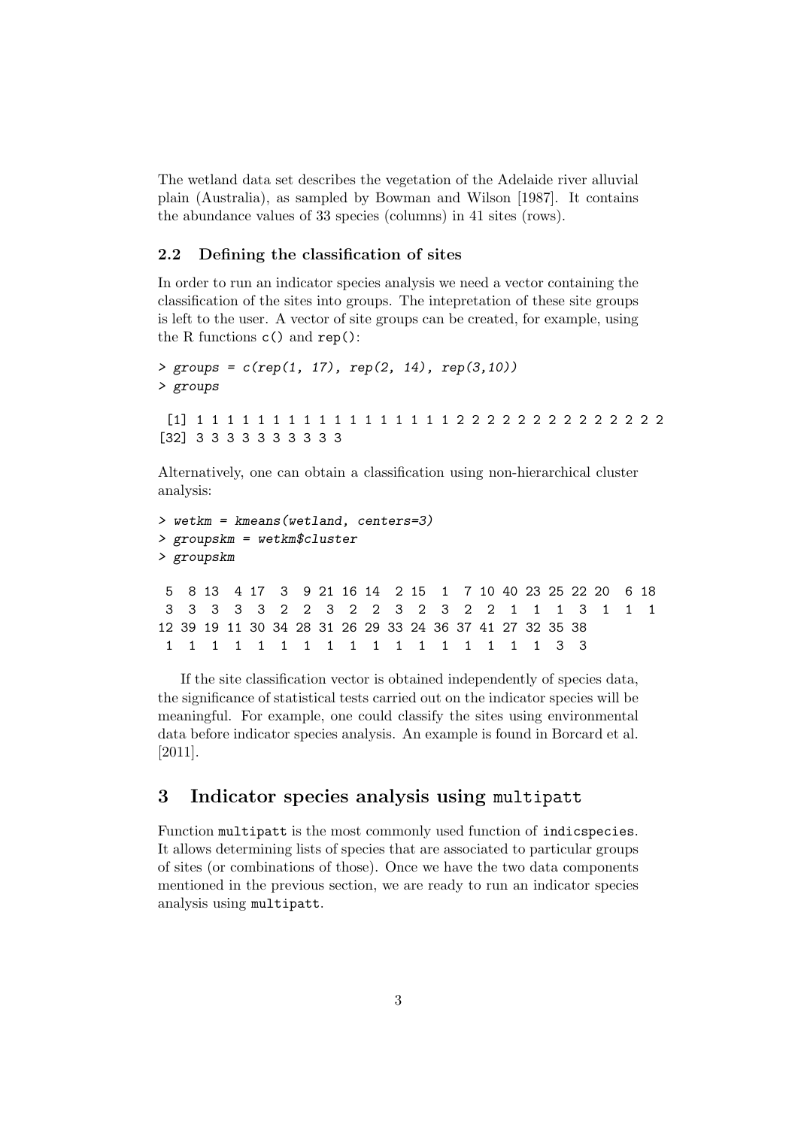The wetland data set describes the vegetation of the Adelaide river alluvial plain (Australia), as sampled by Bowman and Wilson [1987]. It contains the abundance values of 33 species (columns) in 41 sites (rows).

# 2.2 Defining the classification of sites

In order to run an indicator species analysis we need a vector containing the classification of the sites into groups. The intepretation of these site groups is left to the user. A vector of site groups can be created, for example, using the R functions c() and rep():

```
> groups = c(rep(1, 17), rep(2, 14), rep(3,10))> groups
 [1] 1 1 1 1 1 1 1 1 1 1 1 1 1 1 1 1 1 2 2 2 2 2 2 2 2 2 2 2 2 2 2
[32] 3 3 3 3 3 3 3 3 3 3
```
Alternatively, one can obtain a classification using non-hierarchical cluster analysis:

```
> wetkm = kmeans(wetland, centers=3)
> groupskm = wetkm$cluster
> groupskm
5 8 13 4 17 3 9 21 16 14 2 15 1 7 10 40 23 25 22 20 6 18
 3 3 3 3 3 2 2 3 2 2 3 2 3 2 2 1 1 1 3 1 1 1
12 39 19 11 30 34 28 31 26 29 33 24 36 37 41 27 32 35 38
 1 1 1 1 1 1 1 1 1 1 1 1 1 1 1 1 1 3 3
```
If the site classification vector is obtained independently of species data, the significance of statistical tests carried out on the indicator species will be meaningful. For example, one could classify the sites using environmental data before indicator species analysis. An example is found in Borcard et al. [2011].

# 3 Indicator species analysis using multipatt

Function multipatt is the most commonly used function of indicspecies. It allows determining lists of species that are associated to particular groups of sites (or combinations of those). Once we have the two data components mentioned in the previous section, we are ready to run an indicator species analysis using multipatt.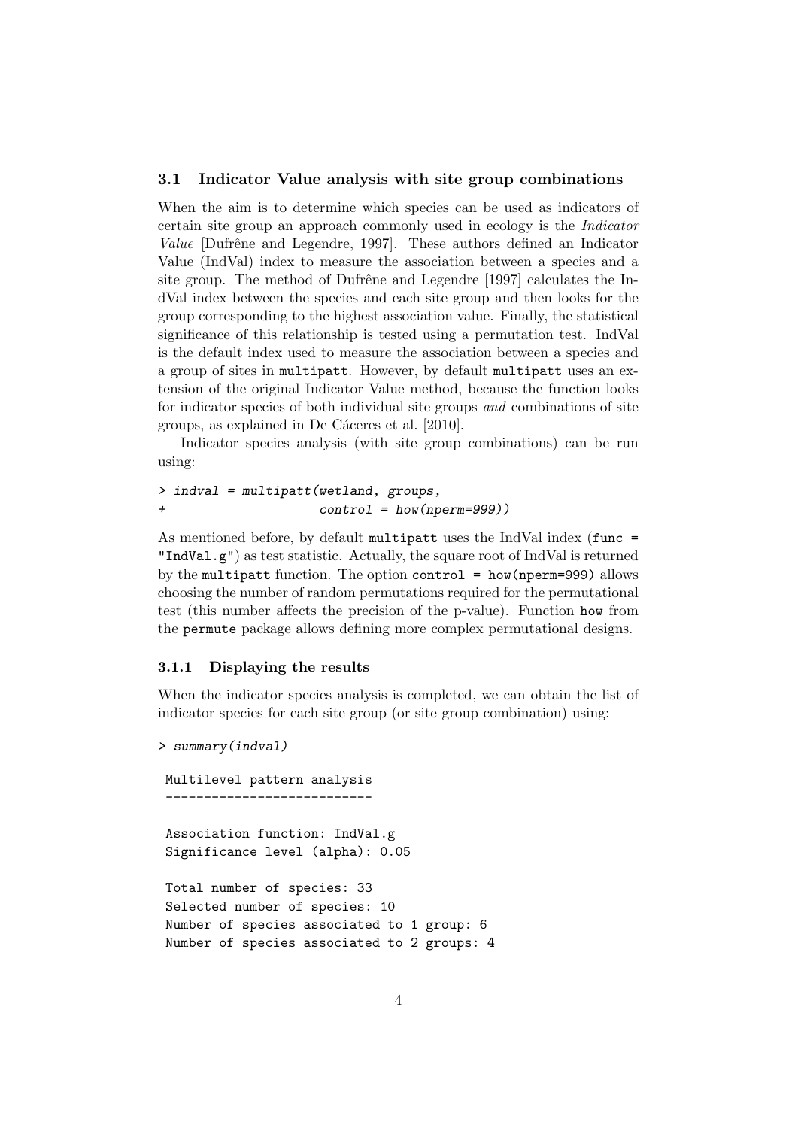#### 3.1 Indicator Value analysis with site group combinations

When the aim is to determine which species can be used as indicators of certain site group an approach commonly used in ecology is the Indicator Value [Dufrêne and Legendre, 1997]. These authors defined an Indicator Value (IndVal) index to measure the association between a species and a site group. The method of Dufrêne and Legendre [1997] calculates the IndVal index between the species and each site group and then looks for the group corresponding to the highest association value. Finally, the statistical significance of this relationship is tested using a permutation test. IndVal is the default index used to measure the association between a species and a group of sites in multipatt. However, by default multipatt uses an extension of the original Indicator Value method, because the function looks for indicator species of both individual site groups and combinations of site groups, as explained in De Cáceres et al. [2010].

Indicator species analysis (with site group combinations) can be run using:

```
> indval = multipatt(wetland, groups,
+ control = how(nperm=999))
```
As mentioned before, by default multipatt uses the IndVal index (func = "IndVal.g") as test statistic. Actually, the square root of IndVal is returned by the multipatt function. The option control = how(nperm=999) allows choosing the number of random permutations required for the permutational test (this number affects the precision of the p-value). Function how from the permute package allows defining more complex permutational designs.

# 3.1.1 Displaying the results

When the indicator species analysis is completed, we can obtain the list of indicator species for each site group (or site group combination) using:

```
> summary(indval)
```

```
Multilevel pattern analysis
  ---------------------------
Association function: IndVal.g
Significance level (alpha): 0.05
Total number of species: 33
Selected number of species: 10
Number of species associated to 1 group: 6
Number of species associated to 2 groups: 4
```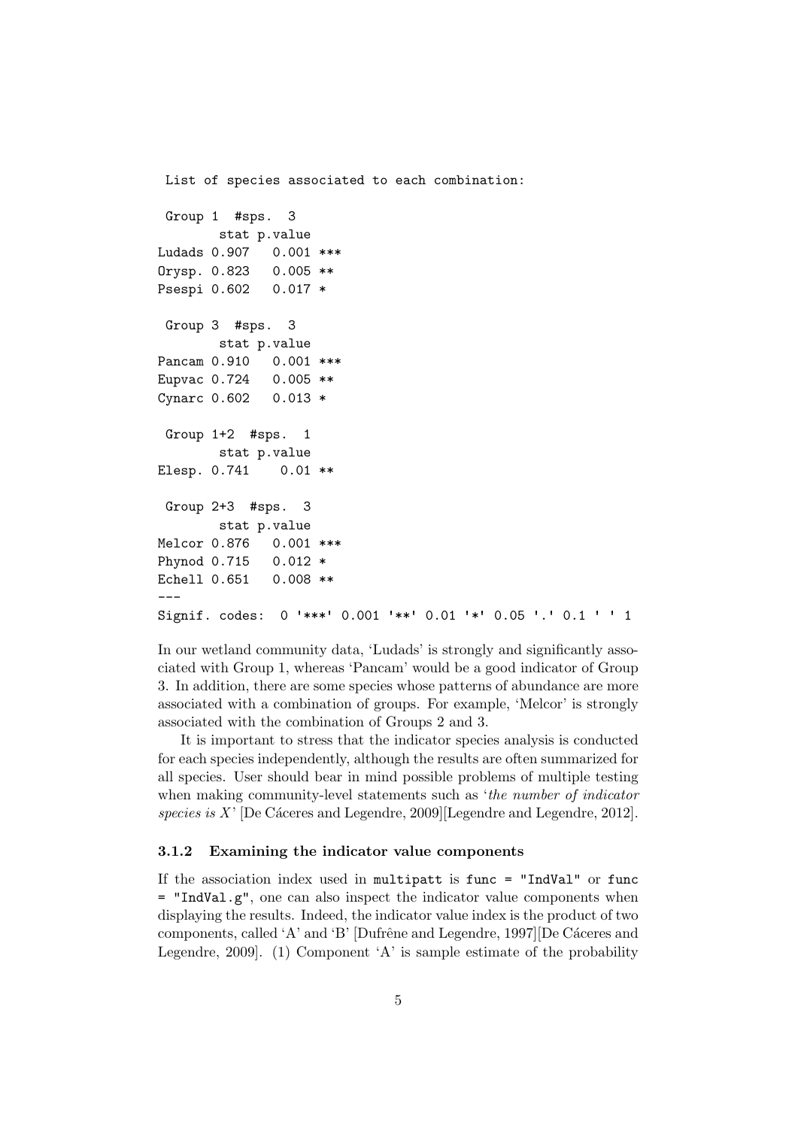```
List of species associated to each combination:
 Group 1 #sps. 3
       stat p.value
Ludads 0.907 0.001 ***
Orysp. 0.823 0.005 **
Psespi 0.602 0.017 *
Group 3 #sps. 3
       stat p.value
Pancam 0.910 0.001 ***
Eupvac 0.724 0.005 **
Cynarc 0.602 0.013 *
Group 1+2 #sps. 1
       stat p.value
Elesp. 0.741 0.01 **
 Group 2+3 #sps. 3
       stat p.value
Melcor 0.876 0.001 ***
Phynod 0.715 0.012 *
Echell 0.651 0.008 **
---Signif. codes: 0 '***' 0.001 '**' 0.01 '*' 0.05 '.' 0.1 ' ' 1
```
In our wetland community data, 'Ludads' is strongly and significantly associated with Group 1, whereas 'Pancam' would be a good indicator of Group 3. In addition, there are some species whose patterns of abundance are more associated with a combination of groups. For example, 'Melcor' is strongly associated with the combination of Groups 2 and 3.

It is important to stress that the indicator species analysis is conducted for each species independently, although the results are often summarized for all species. User should bear in mind possible problems of multiple testing when making community-level statements such as 'the number of indicator species is  $X'$  [De Cáceres and Legendre, 2009][Legendre and Legendre, 2012].

#### 3.1.2 Examining the indicator value components

If the association index used in multipatt is func = "IndVal" or func  $=$  "IndVal.g", one can also inspect the indicator value components when displaying the results. Indeed, the indicator value index is the product of two components, called 'A' and 'B' [Dufrêne and Legendre, 1997][De Cáceres and Legendre, 2009]. (1) Component 'A' is sample estimate of the probability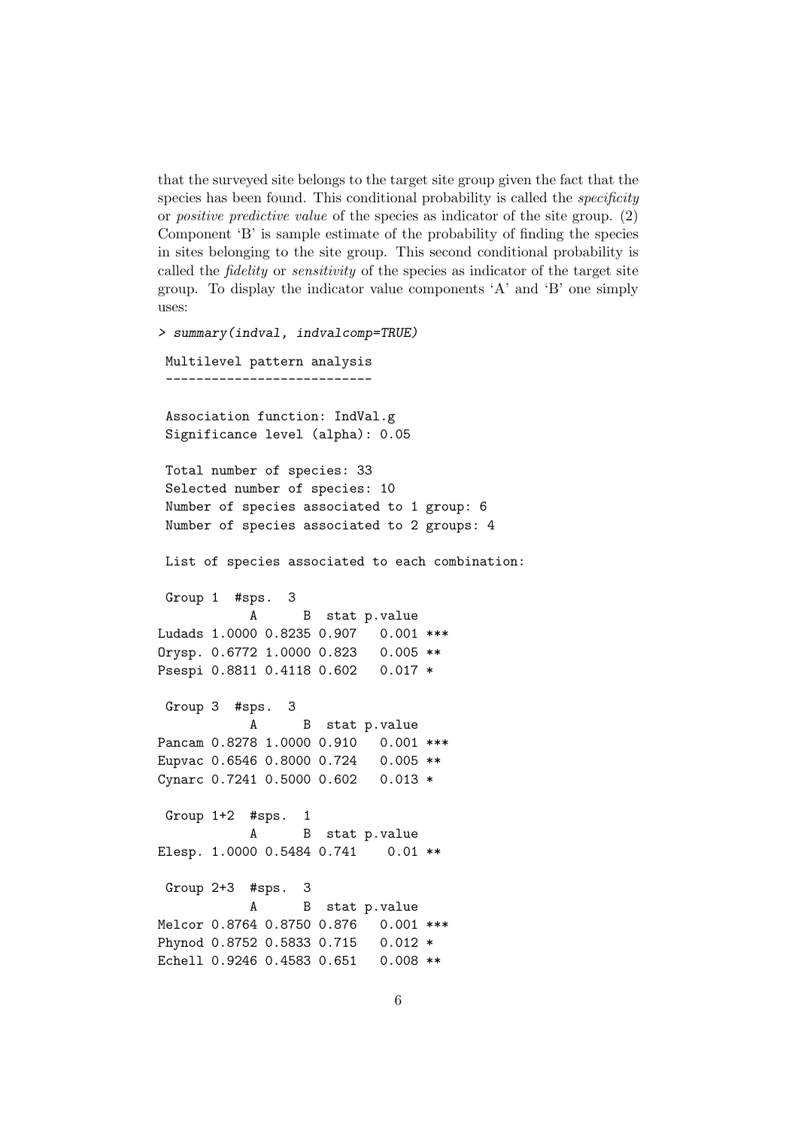that the surveyed site belongs to the target site group given the fact that the species has been found. This conditional probability is called the *specificity* or positive predictive value of the species as indicator of the site group. (2) Component 'B' is sample estimate of the probability of finding the species in sites belonging to the site group. This second conditional probability is called the fidelity or sensitivity of the species as indicator of the target site group. To display the indicator value components 'A' and 'B' one simply uses:

```
> summary(indval, indvalcomp=TRUE)
Multilevel pattern analysis
 Association function: IndVal.g
 Significance level (alpha): 0.05
 Total number of species: 33
 Selected number of species: 10
 Number of species associated to 1 group: 6
 Number of species associated to 2 groups: 4
List of species associated to each combination:
 Group 1 #sps. 3
           A B stat p.value
Ludads 1.0000 0.8235 0.907  0.001 ***
Orysp. 0.6772 1.0000 0.823 0.005 **
Psespi 0.8811 0.4118 0.602 0.017 *
Group 3 #sps. 3
           A B stat p.value
Pancam 0.8278 1.0000 0.910 0.001 ***
Eupvac 0.6546 0.8000 0.724 0.005 **
Cynarc 0.7241 0.5000 0.602 0.013 *
Group 1+2 #sps. 1
           A B stat p.value
Elesp. 1.0000 0.5484 0.741  0.01 **
Group 2+3 #sps. 3
           A B stat p.value
Melcor 0.8764 0.8750 0.876 0.001 ***
Phynod 0.8752 0.5833 0.715 0.012 *
Echell 0.9246 0.4583 0.651 0.008 **
```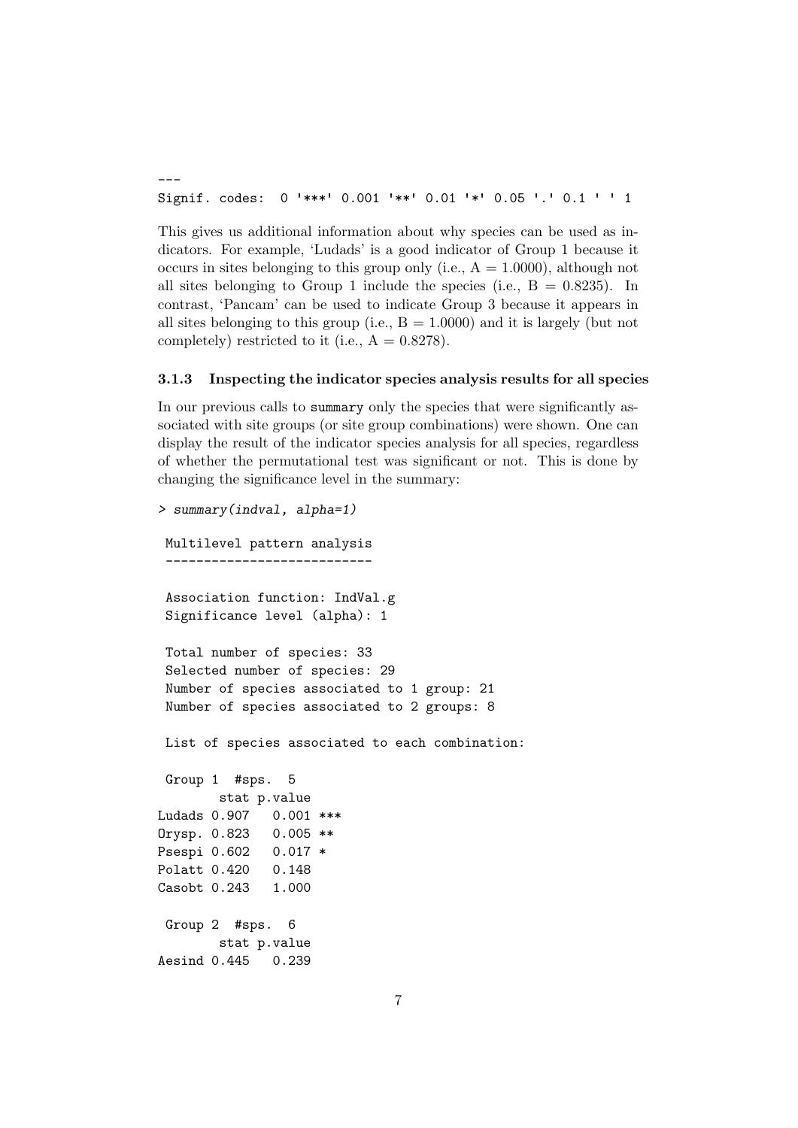Signif. codes: 0 '\*\*\*' 0.001 '\*\*' 0.01 '\*' 0.05 '.' 0.1 ' ' <sup>1</sup>

---

This gives us additional information about why species can be used as indicators. For example, 'Ludads' is a good indicator of Group 1 because it occurs in sites belonging to this group only (i.e.,  $A = 1.0000$ ), although not all sites belonging to Group 1 include the species (i.e.,  $B = 0.8235$ ). In contrast, 'Pancam' can be used to indicate Group 3 because it appears in all sites belonging to this group (i.e.,  $B = 1.0000$ ) and it is largely (but not completely) restricted to it (i.e.,  $A = 0.8278$ ).

#### 3.1.3 Inspecting the indicator species analysis results for all species

In our previous calls to summary only the species that were significantly associated with site groups (or site group combinations) were shown. One can display the result of the indicator species analysis for all species, regardless of whether the permutational test was significant or not. This is done by changing the significance level in the summary:

```
> summary(indval, alpha=1)
Multilevel pattern analysis
 ---------------------------
 Association function: IndVal.g
 Significance level (alpha): 1
 Total number of species: 33
 Selected number of species: 29
 Number of species associated to 1 group: 21
 Number of species associated to 2 groups: 8
List of species associated to each combination:
Group 1 #sps. 5
       stat p.value
Ludads 0.907 0.001 ***
Orysp. 0.823 0.005 **
Psespi 0.602 0.017 *
Polatt 0.420 0.148
Casobt 0.243 1.000
Group 2 #sps. 6
       stat p.value
Aesind 0.445 0.239
```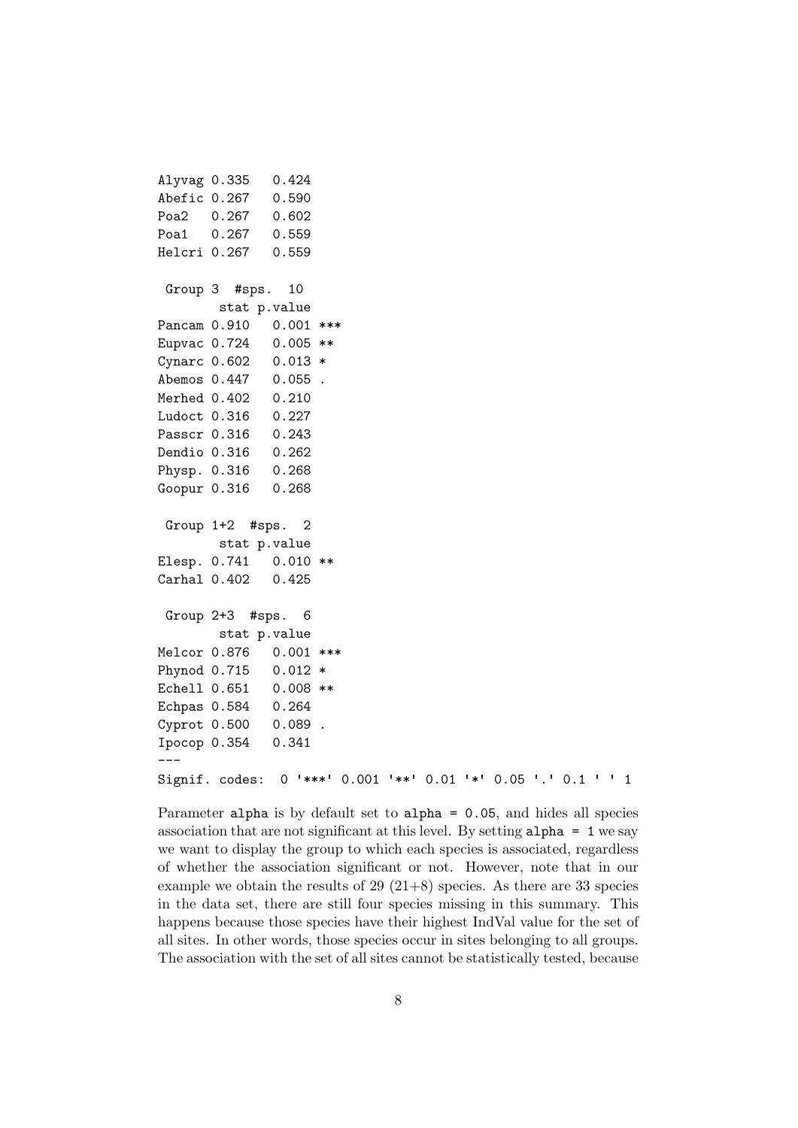```
Alyvag 0.335 0.424
Abefic 0.267 0.590
Poa2 0.267 0.602
Poa1 0.267 0.559
Helcri 0.267 0.559
Group 3 #sps. 10
       stat p.value
Pancam 0.910  0.001 ***
Eupvac 0.724 0.005 **
Cynarc 0.602 0.013 *
Abemos 0.447 0.055 .
Merhed 0.402 0.210
Ludoct 0.316 0.227
Passcr 0.316 0.243
Dendio 0.316 0.262
Physp. 0.316 0.268
Goopur 0.316 0.268
Group 1+2 #sps. 2
       stat p.value
Elesp. 0.741 0.010 **
Carhal 0.402 0.425
Group 2+3 #sps. 6
       stat p.value
Melcor 0.876 0.001 ***
Phynod 0.715 0.012 *
Echell 0.651 0.008 **
Echpas 0.584 0.264
Cyprot 0.500 0.089 .
Ipocop 0.354 0.341
---
Signif. codes: 0 '***' 0.001 '**' 0.01 '*' 0.05 '.' 0.1 ' ' 1
```
Parameter alpha is by default set to alpha = 0.05, and hides all species association that are not significant at this level. By setting alpha = 1 we say we want to display the group to which each species is associated, regardless of whether the association significant or not. However, note that in our example we obtain the results of  $29$   $(21+8)$  species. As there are 33 species in the data set, there are still four species missing in this summary. This happens because those species have their highest IndVal value for the set of all sites. In other words, those species occur in sites belonging to all groups. The association with the set of all sites cannot be statistically tested, because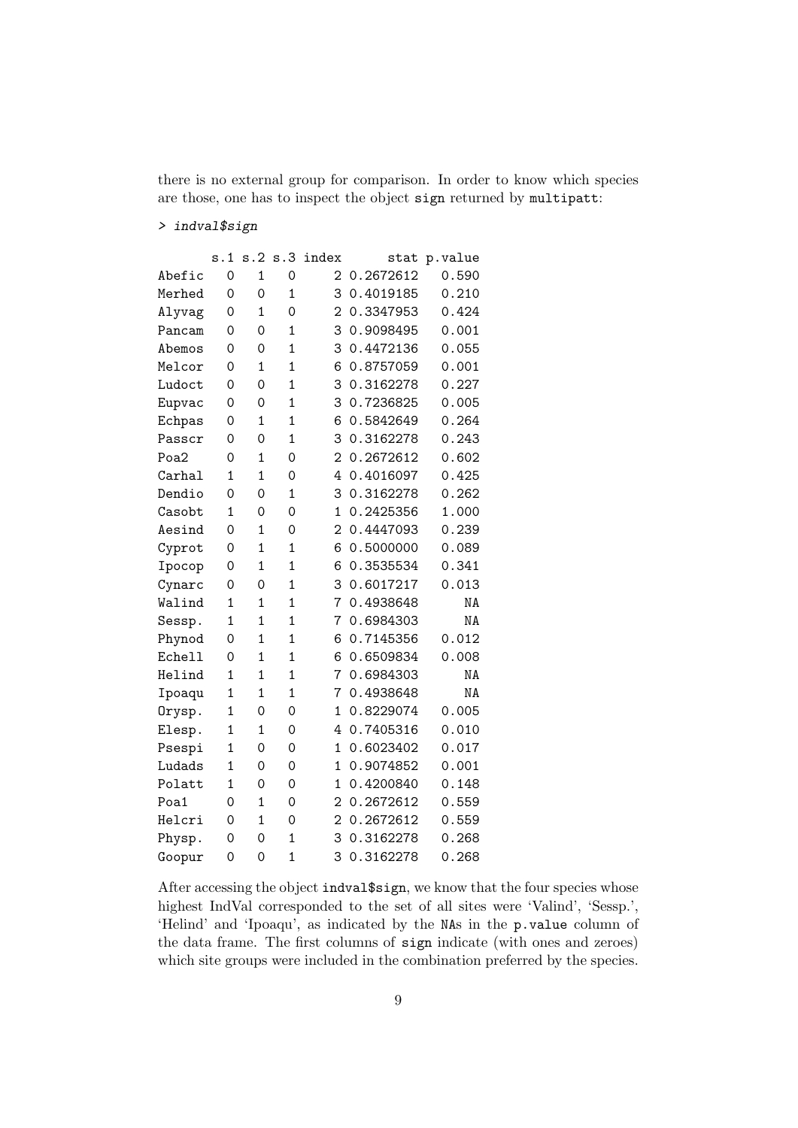there is no external group for comparison. In order to know which species are those, one has to inspect the object sign returned by multipatt:

# > indval\$sign

|               | s.1          | s.2            | s.3            | index          | stat      | p.value |
|---------------|--------------|----------------|----------------|----------------|-----------|---------|
| Abefic        | 0            | $\mathbf{1}$   | 0              | 2              | 0.2672612 | 0.590   |
| Merhed        | 0            | 0              | 1              | 3              | 0.4019185 | 0.210   |
| Alyvag        | 0            | 1              | 0              | $\overline{2}$ | 0.3347953 | 0.424   |
| Pancam        | 0            | 0              | 1              | 3              | 0.9098495 | 0.001   |
| Abemos        | 0            | 0              | 1              | 3              | 0.4472136 | 0.055   |
| Melcor        | 0            | 1              | $\mathbf{1}$   | 6              | 0.8757059 | 0.001   |
| Ludoct        | 0            | $\mathbf 0$    | $\overline{1}$ | 3              | 0.3162278 | 0.227   |
| Eupvac        | 0            | $\overline{O}$ | 1              | 3              | 0.7236825 | 0.005   |
| Echpas        | 0            | $\mathbf{1}$   | 1              | 6              | 0.5842649 | 0.264   |
| Passcr        | 0            | 0              | 1              | 3              | 0.3162278 | 0.243   |
| Poa2          | 0            | 1              | 0              | 2              | 0.2672612 | 0.602   |
| Carhal        | 1            | $\overline{1}$ | 0              | 4              | 0.4016097 | 0.425   |
| Dendio        | 0            | 0              | 1              | 3              | 0.3162278 | 0.262   |
| Casobt        | 1            | 0              | 0              | 1              | 0.2425356 | 1.000   |
| Aesind        | 0            | 1              | 0              | $\overline{2}$ | 0.4447093 | 0.239   |
| Cyprot        | 0            | $\overline{1}$ | 1              | 6              | 0.5000000 | 0.089   |
| Ipocop        | 0            | $\overline{1}$ | $\overline{1}$ | 6              | 0.3535534 | 0.341   |
| Cynarc        | 0            | 0              | $\mathbf{1}$   | 3              | 0.6017217 | 0.013   |
| Walind        | $\mathbf{1}$ | $\mathbf{1}$   | 1              | 7              | 0.4938648 | NA      |
| Sessp.        | 1            | $\mathbf{1}$   | $\mathbf{1}$   | 7              | 0.6984303 | NA      |
| Phynod        | 0            | 1              | $\overline{1}$ | 6              | 0.7145356 | 0.012   |
| <b>Echell</b> | 0            | 1              | 1              | 6              | 0.6509834 | 0.008   |
| Helind        | 1            | $\mathbf{1}$   | $\mathbf{1}$   | 7              | 0.6984303 | NA      |
| Ipoaqu        | 1            | $\mathbf{1}$   | 1              | 7              | 0.4938648 | ΝA      |
| Orysp.        | 1            | 0              | 0              | $\mathbf{1}$   | 0.8229074 | 0.005   |
| Elesp.        | 1            | 1              | 0              | 4              | 0.7405316 | 0.010   |
| Psespi        | 1            | $\mathbf 0$    | 0              | 1              | 0.6023402 | 0.017   |
| Ludads        | $\mathbf{1}$ | 0              | 0              | 1              | 0.9074852 | 0.001   |
| Polatt        | 1            | 0              | 0              | 1              | 0.4200840 | 0.148   |
| Poa1          | 0            | 1              | 0              | 2              | 0.2672612 | 0.559   |
| Helcri        | 0            | 1              | 0              | 2              | 0.2672612 | 0.559   |
| Physp.        | 0            | 0              | 1              | 3              | 0.3162278 | 0.268   |
| Goopur        | 0            | 0              | $\overline{1}$ | 3              | 0.3162278 | 0.268   |

After accessing the object indval\$sign, we know that the four species whose highest IndVal corresponded to the set of all sites were 'Valind', 'Sessp.', 'Helind' and 'Ipoaqu', as indicated by the NAs in the p.value column of the data frame. The first columns of sign indicate (with ones and zeroes) which site groups were included in the combination preferred by the species.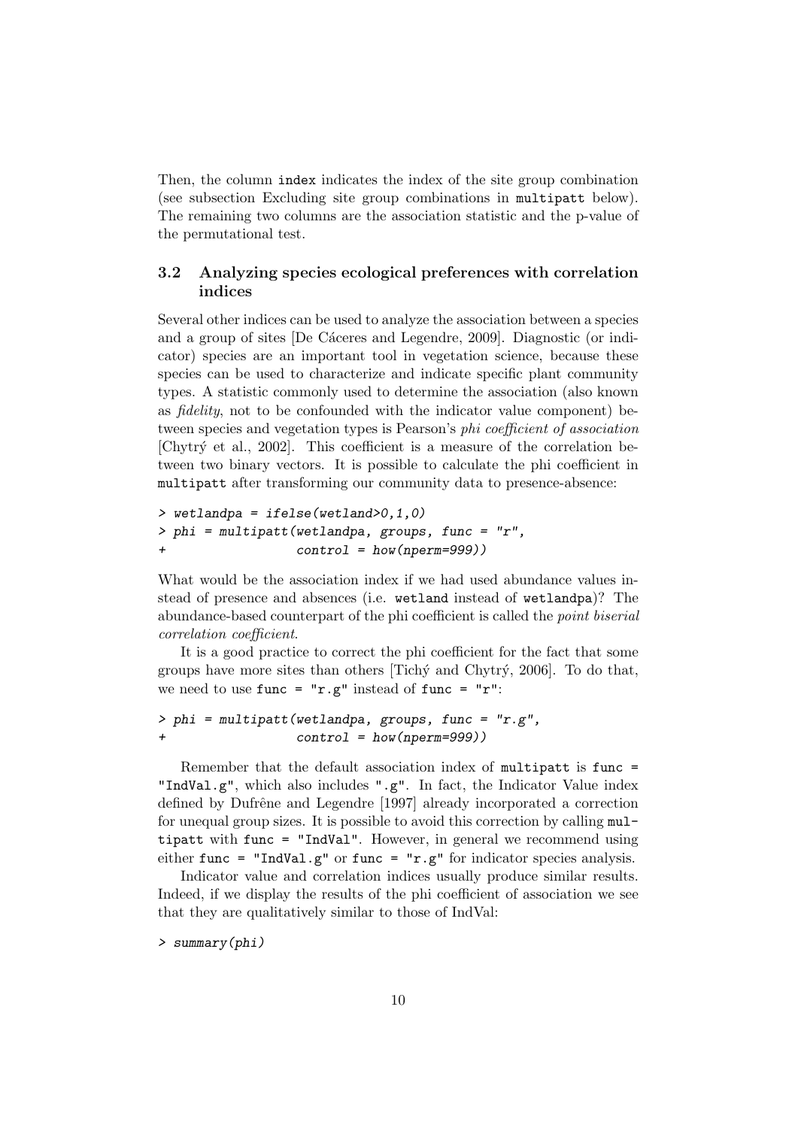Then, the column index indicates the index of the site group combination (see subsection Excluding site group combinations in multipatt below). The remaining two columns are the association statistic and the p-value of the permutational test.

# 3.2 Analyzing species ecological preferences with correlation indices

Several other indices can be used to analyze the association between a species and a group of sites [De Cáceres and Legendre, 2009]. Diagnostic (or indicator) species are an important tool in vegetation science, because these species can be used to characterize and indicate specific plant community types. A statistic commonly used to determine the association (also known as fidelity, not to be confounded with the indicator value component) between species and vegetation types is Pearson's phi coefficient of association [Chytr´y et al., 2002]. This coefficient is a measure of the correlation between two binary vectors. It is possible to calculate the phi coefficient in multipatt after transforming our community data to presence-absence:

```
> wetlandpa = ifelse(wetland>0,1,0)
> phi = multipatt(wetlandpa, groups, func = "r",
+ control = how(nperm=999))
```
What would be the association index if we had used abundance values instead of presence and absences (i.e. wetland instead of wetlandpa)? The abundance-based counterpart of the phi coefficient is called the point biserial correlation coefficient.

It is a good practice to correct the phi coefficient for the fact that some groups have more sites than others  $[Tich\circ]$  and Chytr $\circ$ , 2006]. To do that, we need to use  $func = "r.g" instead of func = "r":$ 

```
> phi = multipatt(wetlandpa, groups, func = "r.g",control = how(nperm=999))
```
Remember that the default association index of multipatt is func = "IndVal.g", which also includes ".g". In fact, the Indicator Value index defined by Dufrêne and Legendre [1997] already incorporated a correction for unequal group sizes. It is possible to avoid this correction by calling multipatt with func = "IndVal". However, in general we recommend using either func = "IndVal.g" or func = " $r.g$ " for indicator species analysis.

Indicator value and correlation indices usually produce similar results. Indeed, if we display the results of the phi coefficient of association we see that they are qualitatively similar to those of IndVal:

> summary(phi)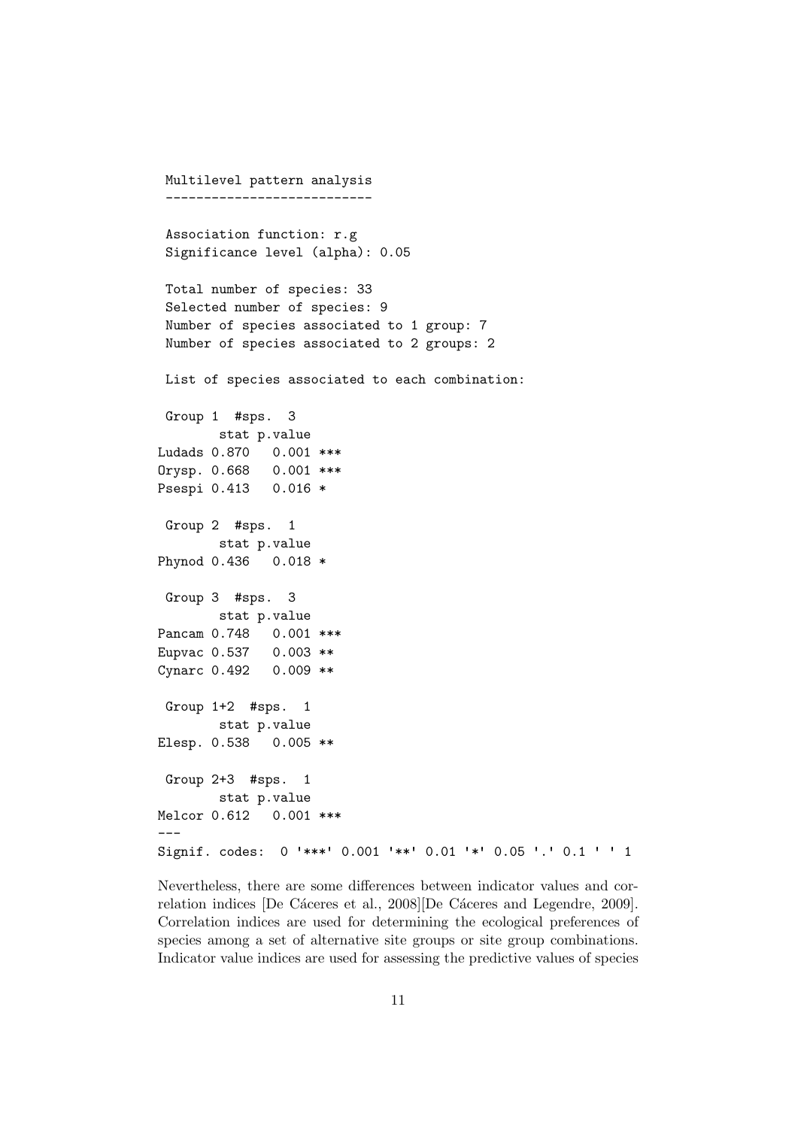```
Multilevel pattern analysis
 ---------------------------
 Association function: r.g
 Significance level (alpha): 0.05
 Total number of species: 33
 Selected number of species: 9
 Number of species associated to 1 group: 7
 Number of species associated to 2 groups: 2
List of species associated to each combination:
Group 1 #sps. 3
       stat p.value
Ludads 0.870 0.001 ***
Orysp. 0.668 0.001 ***
Psespi 0.413 0.016 *
Group 2 #sps. 1
       stat p.value
Phynod 0.436 0.018 *
Group 3 #sps. 3
       stat p.value
Pancam 0.748  0.001 ***
Eupvac 0.537 0.003 **
Cynarc 0.492 0.009 **
Group 1+2 #sps. 1
       stat p.value
Elesp. 0.538 0.005 **
Group 2+3 #sps. 1
       stat p.value
Melcor 0.612 0.001 ***
---
Signif. codes: 0 '***' 0.001 '**' 0.01 '*' 0.05 '.' 0.1 ' ' 1
```
Nevertheless, there are some differences between indicator values and correlation indices [De Cáceres et al., 2008][De Cáceres and Legendre, 2009]. Correlation indices are used for determining the ecological preferences of species among a set of alternative site groups or site group combinations. Indicator value indices are used for assessing the predictive values of species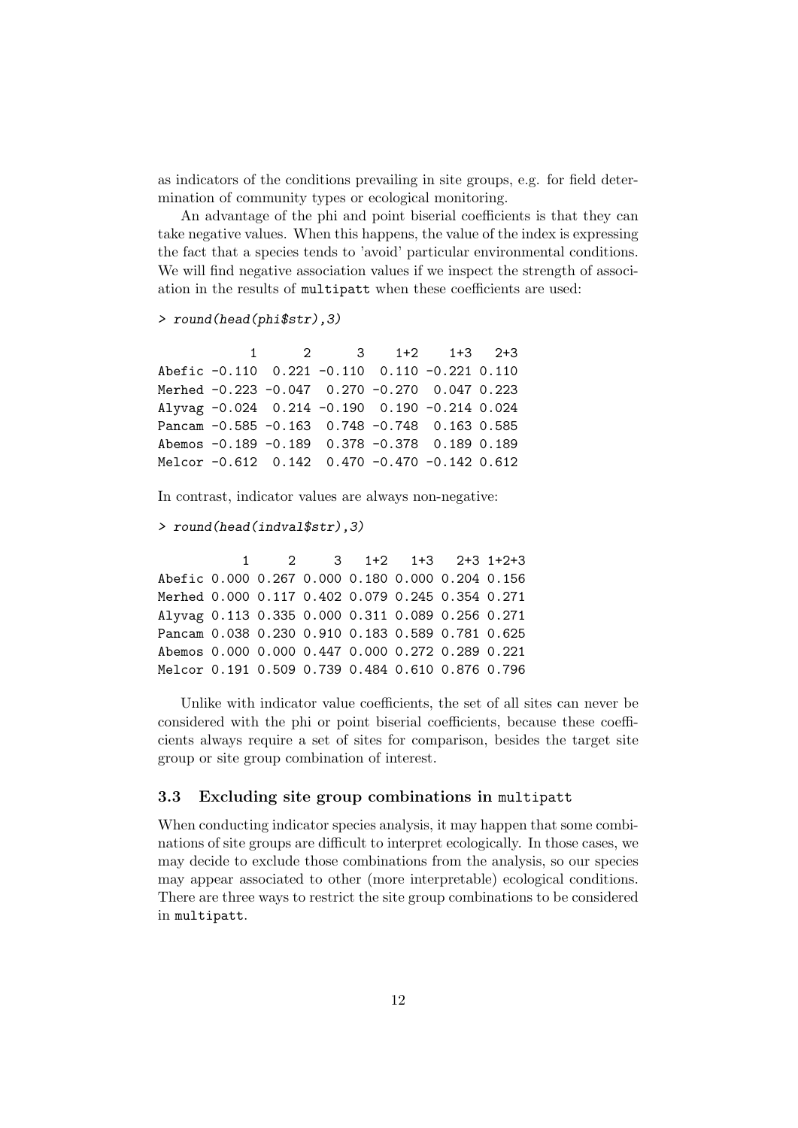as indicators of the conditions prevailing in site groups, e.g. for field determination of community types or ecological monitoring.

An advantage of the phi and point biserial coefficients is that they can take negative values. When this happens, the value of the index is expressing the fact that a species tends to 'avoid' particular environmental conditions. We will find negative association values if we inspect the strength of association in the results of multipatt when these coefficients are used:

```
> round(head(phi$str),3)
```

|  |  | $1 \t 2 \t 3 \t 1+2 \t 1+3 \t 2+3$               |  |
|--|--|--------------------------------------------------|--|
|  |  | Abefic -0.110 0.221 -0.110 0.110 -0.221 0.110    |  |
|  |  | Merhed -0.223 -0.047 0.270 -0.270 0.047 0.223    |  |
|  |  | Alyvag -0.024 0.214 -0.190 0.190 -0.214 0.024    |  |
|  |  | Pancam -0.585 -0.163 0.748 -0.748 0.163 0.585    |  |
|  |  | Abemos -0.189 -0.189 0.378 -0.378 0.189 0.189    |  |
|  |  | Melcor -0.612  0.142  0.470 -0.470 -0.142  0.612 |  |

In contrast, indicator values are always non-negative:

```
> round(head(indval$str),3)
```
1 2 3 1+2 1+3 2+3 1+2+3 Abefic 0.000 0.267 0.000 0.180 0.000 0.204 0.156 Merhed 0.000 0.117 0.402 0.079 0.245 0.354 0.271 Alyvag 0.113 0.335 0.000 0.311 0.089 0.256 0.271 Pancam 0.038 0.230 0.910 0.183 0.589 0.781 0.625 Abemos 0.000 0.000 0.447 0.000 0.272 0.289 0.221 Melcor 0.191 0.509 0.739 0.484 0.610 0.876 0.796

Unlike with indicator value coefficients, the set of all sites can never be considered with the phi or point biserial coefficients, because these coefficients always require a set of sites for comparison, besides the target site group or site group combination of interest.

# 3.3 Excluding site group combinations in multipatt

When conducting indicator species analysis, it may happen that some combinations of site groups are difficult to interpret ecologically. In those cases, we may decide to exclude those combinations from the analysis, so our species may appear associated to other (more interpretable) ecological conditions. There are three ways to restrict the site group combinations to be considered in multipatt.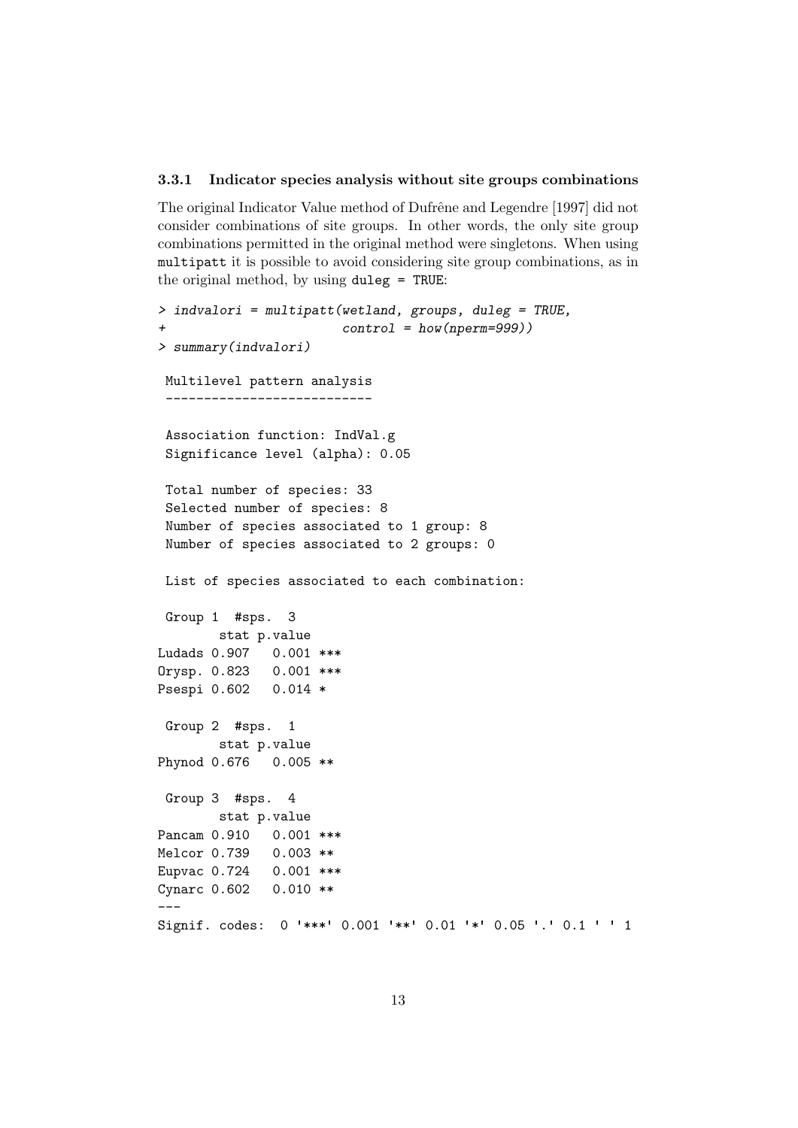#### 3.3.1 Indicator species analysis without site groups combinations

The original Indicator Value method of Dufrêne and Legendre [1997] did not consider combinations of site groups. In other words, the only site group combinations permitted in the original method were singletons. When using multipatt it is possible to avoid considering site group combinations, as in the original method, by using duleg = TRUE:

```
> indvalori = multipatt(wetland, groups, duleg = TRUE,
+ control = how(nperm=999))
> summary(indvalori)
Multilevel pattern analysis
 ---------------------------
 Association function: IndVal.g
 Significance level (alpha): 0.05
 Total number of species: 33
 Selected number of species: 8
 Number of species associated to 1 group: 8
 Number of species associated to 2 groups: 0
List of species associated to each combination:
Group 1 #sps. 3
       stat p.value
Ludads 0.907 0.001 ***
Orysp. 0.823 0.001 ***
Psespi 0.602 0.014 *
Group 2 #sps. 1
       stat p.value
Phynod 0.676 0.005 **
Group 3 #sps. 4
       stat p.value
Pancam 0.910  0.001 ***
Melcor 0.739 0.003 **
Eupvac 0.724 0.001 ***
Cynarc 0.602 0.010 **
---
Signif. codes: 0 '***' 0.001 '**' 0.01 '*' 0.05 '.' 0.1 ' ' 1
```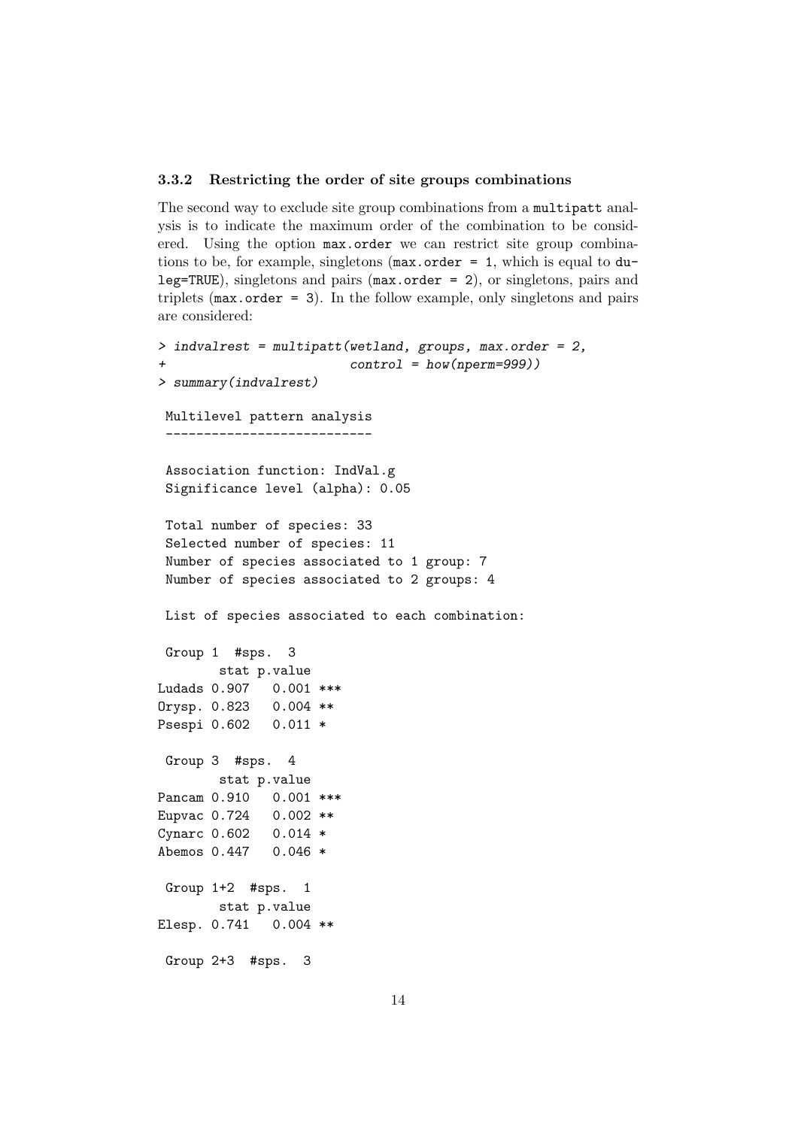#### 3.3.2 Restricting the order of site groups combinations

The second way to exclude site group combinations from a multipatt analysis is to indicate the maximum order of the combination to be considered. Using the option max.order we can restrict site group combinations to be, for example, singletons ( $max.order = 1$ , which is equal to  $du$ leg=TRUE), singletons and pairs (max.order = 2), or singletons, pairs and triplets (max.order = 3). In the follow example, only singletons and pairs are considered:

```
> indvalrest = multipatt(wetland, groups, max.order = 2,
+ control = how(nperm=999))
> summary(indvalrest)
Multilevel pattern analysis
 ---------------------------
 Association function: IndVal.g
 Significance level (alpha): 0.05
 Total number of species: 33
 Selected number of species: 11
 Number of species associated to 1 group: 7
Number of species associated to 2 groups: 4
List of species associated to each combination:
Group 1 #sps. 3
       stat p.value
Ludads 0.907 0.001 ***
Orysp. 0.823 0.004 **
Psespi 0.602 0.011 *
Group 3 #sps. 4
       stat p.value
Pancam 0.910 0.001 ***
Eupvac 0.724 0.002 **
Cynarc 0.602 0.014 *
Abemos 0.447 0.046 *
Group 1+2 #sps. 1
       stat p.value
Elesp. 0.741 0.004 **
Group 2+3 #sps. 3
```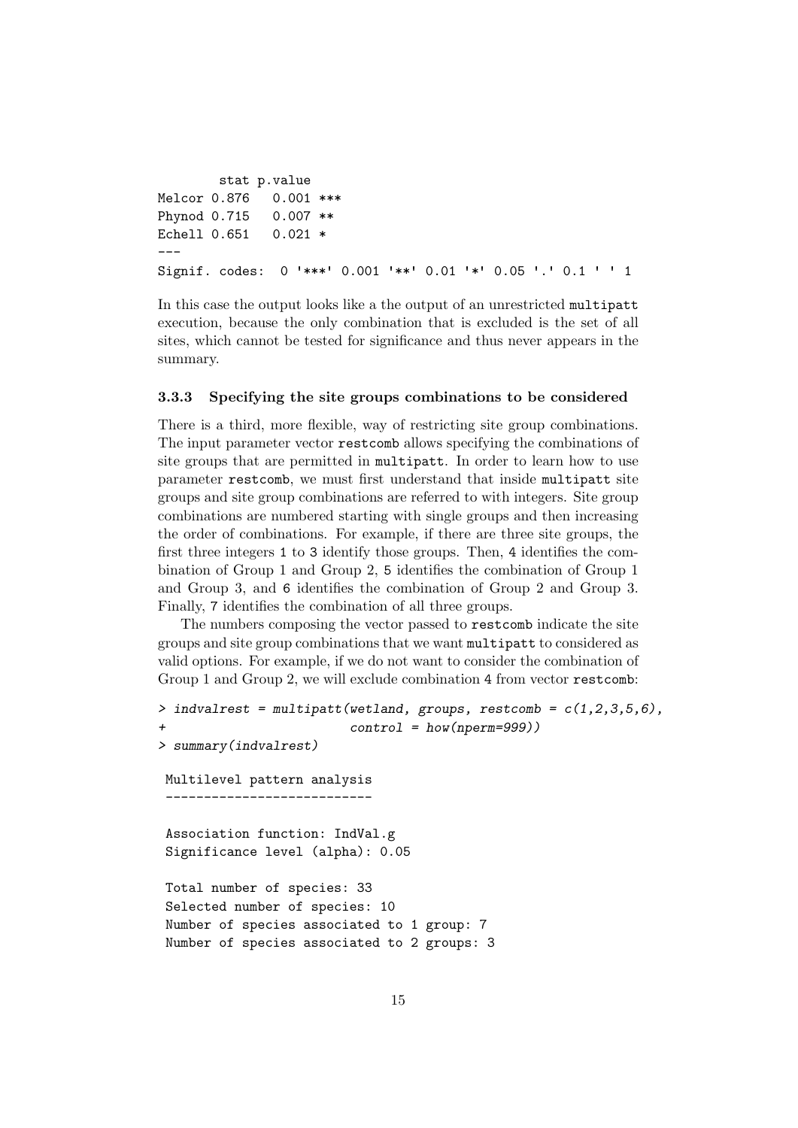```
stat p.value
Melcor 0.876 0.001 ***
Phynod 0.715 0.007 **
Echell 0.651 0.021 *
---
Signif. codes: 0 '***' 0.001 '**' 0.01 '*' 0.05 '.' 0.1 ' ' 1
```
In this case the output looks like a the output of an unrestricted multipatt execution, because the only combination that is excluded is the set of all sites, which cannot be tested for significance and thus never appears in the summary.

#### 3.3.3 Specifying the site groups combinations to be considered

There is a third, more flexible, way of restricting site group combinations. The input parameter vector restcomb allows specifying the combinations of site groups that are permitted in multipatt. In order to learn how to use parameter restcomb, we must first understand that inside multipatt site groups and site group combinations are referred to with integers. Site group combinations are numbered starting with single groups and then increasing the order of combinations. For example, if there are three site groups, the first three integers 1 to 3 identify those groups. Then, 4 identifies the combination of Group 1 and Group 2, 5 identifies the combination of Group 1 and Group 3, and 6 identifies the combination of Group 2 and Group 3. Finally, 7 identifies the combination of all three groups.

The numbers composing the vector passed to restcomb indicate the site groups and site group combinations that we want multipatt to considered as valid options. For example, if we do not want to consider the combination of Group 1 and Group 2, we will exclude combination 4 from vector restcomb:

```
> indvalrest = multipatt(wetland, groups, restcomb = c(1,2,3,5,6),
+ control = how(nperm=999))
> summary(indvalrest)
Multilevel pattern analysis
   ---------------------------
 Association function: IndVal.g
 Significance level (alpha): 0.05
 Total number of species: 33
 Selected number of species: 10
 Number of species associated to 1 group: 7
 Number of species associated to 2 groups: 3
```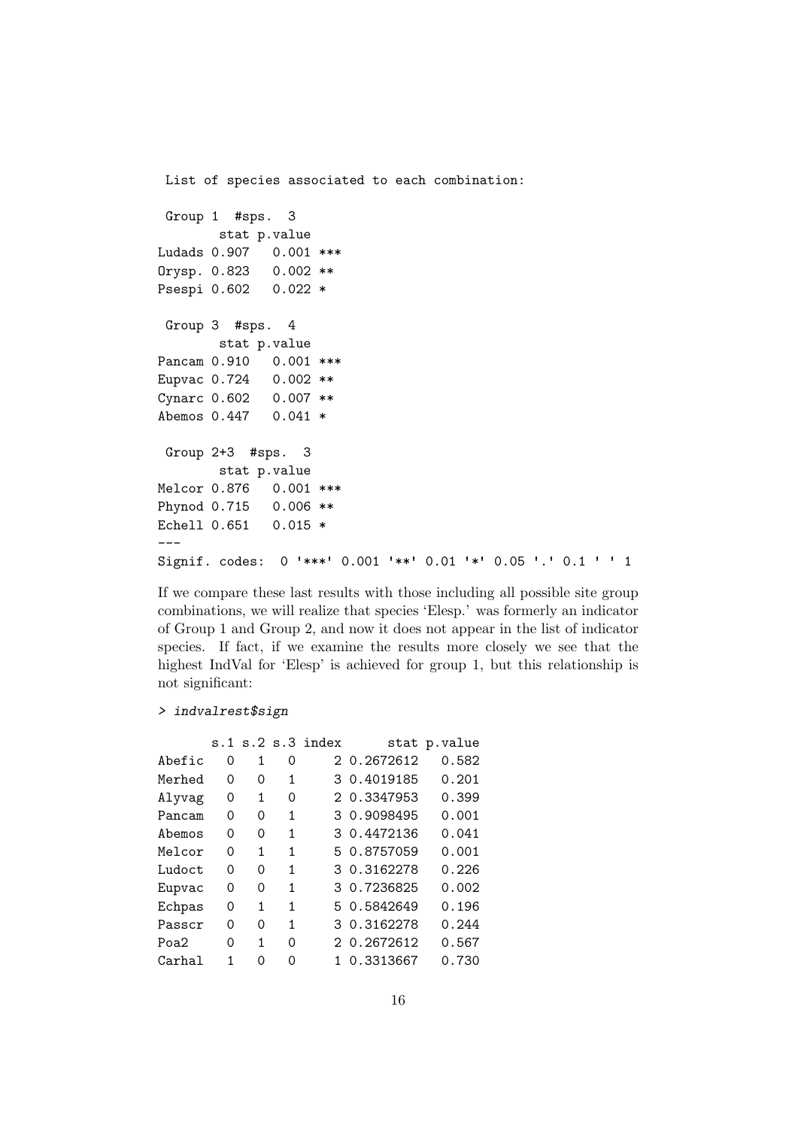```
List of species associated to each combination:
Group 1 #sps. 3
       stat p.value
Ludads 0.907 0.001 ***
Orysp. 0.823 0.002 **
Psespi 0.602 0.022 *
Group 3 #sps. 4
       stat p.value
Pancam 0.910 0.001 ***
Eupvac 0.724 0.002 **
Cynarc 0.602 0.007 **
Abemos 0.447 0.041 *
Group 2+3 #sps. 3
       stat p.value
Melcor 0.876 0.001 ***
Phynod 0.715 0.006 **
Echell 0.651 0.015 *
---
Signif. codes: 0 '***' 0.001 '**' 0.01 '*' 0.05 '.' 0.1 ' ' 1
```
If we compare these last results with those including all possible site group combinations, we will realize that species 'Elesp.' was formerly an indicator of Group 1 and Group 2, and now it does not appear in the list of indicator species. If fact, if we examine the results more closely we see that the highest IndVal for 'Elesp' is achieved for group 1, but this relationship is not significant:

```
> indvalrest$sign
```

|        |   |          |   | s.1 s.2 s.3 index |             | stat p.value |
|--------|---|----------|---|-------------------|-------------|--------------|
| Abefic | Ω | 1        | Ω |                   | 2 0.2672612 | 0.582        |
| Merhed | Ω | 0        | 1 |                   | 3 0.4019185 | 0.201        |
| Alyvag | Ω | 1        | 0 |                   | 2 0.3347953 | 0.399        |
| Pancam | Ω | 0        | 1 |                   | 3 0.9098495 | 0.001        |
| Abemos | 0 | 0        | 1 |                   | 3 0.4472136 | 0.041        |
| Melcor | 0 | 1        | 1 |                   | 5 0.8757059 | 0.001        |
| Ludoct | 0 | 0        | 1 |                   | 3 0.3162278 | 0.226        |
| Eupvac | 0 | 0        | 1 |                   | 3 0.7236825 | 0.002        |
| Echpas | Ω | 1        | 1 |                   | 5 0.5842649 | 0.196        |
| Passcr | Ω | $\Omega$ | 1 |                   | 3 0.3162278 | 0.244        |
| Poa2   | 0 | 1        | Ω |                   | 2 0.2672612 | 0.567        |
| Carhal | 1 | ი        | ი |                   | 0.3313667   | 0.730        |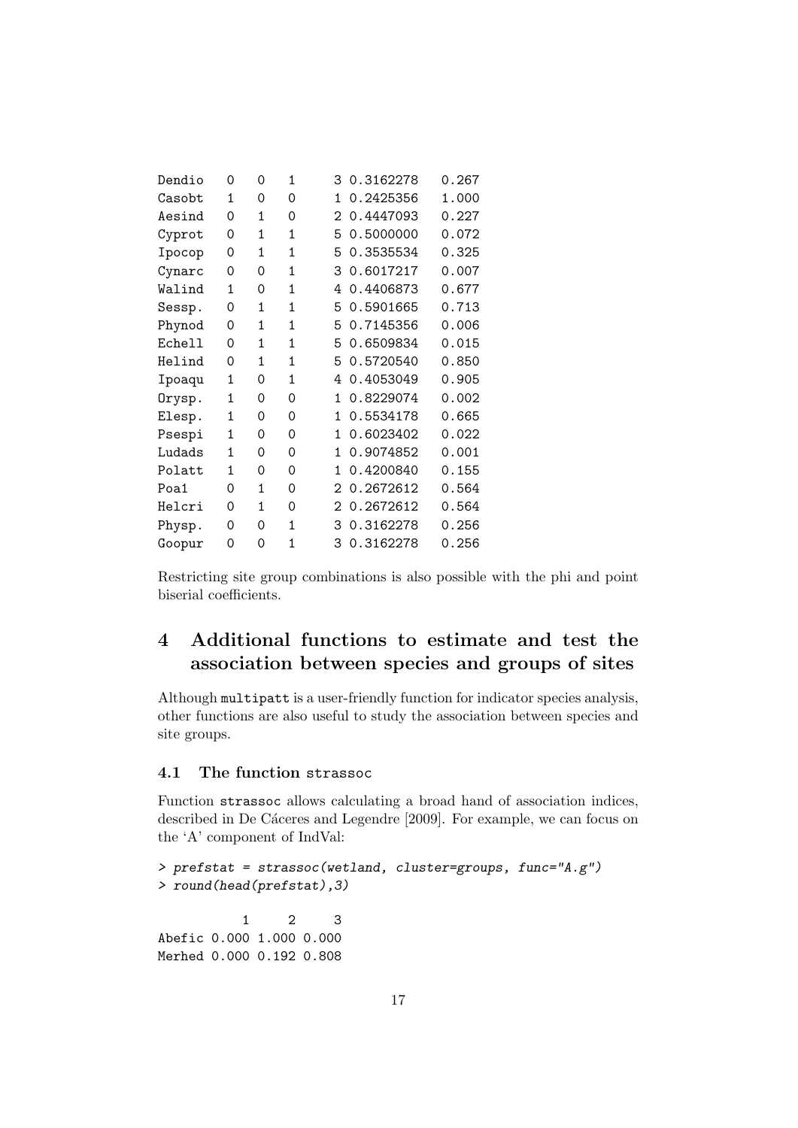| Dendio        | 0            | 0            | 1            | 3                 | 0.3162278 | 0.267 |
|---------------|--------------|--------------|--------------|-------------------|-----------|-------|
| Casobt        | 1            | 0            | 0            | 1                 | 0.2425356 | 1.000 |
| Aesind        | 0            | $\mathbf{1}$ | 0            | 2                 | 0.4447093 | 0.227 |
| Cyprot        | 0            | 1            | 1            | 5                 | 0.5000000 | 0.072 |
| Ipocop        | 0            | 1            | 1            | 5                 | 0.3535534 | 0.325 |
| Cynarc        | 0            | 0            | $\mathbf{1}$ | 3                 | 0.6017217 | 0.007 |
| Walind        | 1            | 0            | 1            | 4                 | 0.4406873 | 0.677 |
| Sessp.        | 0            | 1            | 1            | 5                 | 0.5901665 | 0.713 |
| Phynod        | 0            | $\mathbf{1}$ | 1            | 5                 | 0.7145356 | 0.006 |
| <b>Echell</b> | 0            | $\mathbf{1}$ | $\mathbf{1}$ | 5                 | 0.6509834 | 0.015 |
| Helind        | 0            | $\mathbf{1}$ | $\mathbf{1}$ | 5                 | 0.5720540 | 0.850 |
| Ipoaqu        | 1            | 0            | 1            | 4                 | 0.4053049 | 0.905 |
| Orysp.        | 1            | 0            | 0            | 1                 | 0.8229074 | 0.002 |
| Elesp.        | 1            | 0            | $\Omega$     | 1                 | 0.5534178 | 0.665 |
| Psespi        | $\mathbf{1}$ | 0            | 0            | 1                 | 0.6023402 | 0.022 |
| Ludads        | 1            | 0            | 0            | 1                 | 0.9074852 | 0.001 |
| Polatt        | 1            | 0            | Ω            | 1                 | 0.4200840 | 0.155 |
| Poa1          | 0            | 1            | 0            | $\mathcal{D}_{1}$ | 0.2672612 | 0.564 |
| Helcri        | 0            | 1            | $\Omega$     | 2                 | 0.2672612 | 0.564 |
| Physp.        | 0            | 0            | $\mathbf{1}$ | 3                 | 0.3162278 | 0.256 |
| Goopur        | 0            | 0            | $\mathbf{1}$ | 3                 | 0.3162278 | 0.256 |

Restricting site group combinations is also possible with the phi and point biserial coefficients.

# 4 Additional functions to estimate and test the association between species and groups of sites

Although multipatt is a user-friendly function for indicator species analysis, other functions are also useful to study the association between species and site groups.

# 4.1 The function strassoc

Function strassoc allows calculating a broad hand of association indices, described in De Cáceres and Legendre [2009]. For example, we can focus on the 'A' component of IndVal:

```
> prefstat = strassoc(wetland, cluster=groups, func="A.g")
> round(head(prefstat),3)
          1 2 3
Abefic 0.000 1.000 0.000
Merhed 0.000 0.192 0.808
```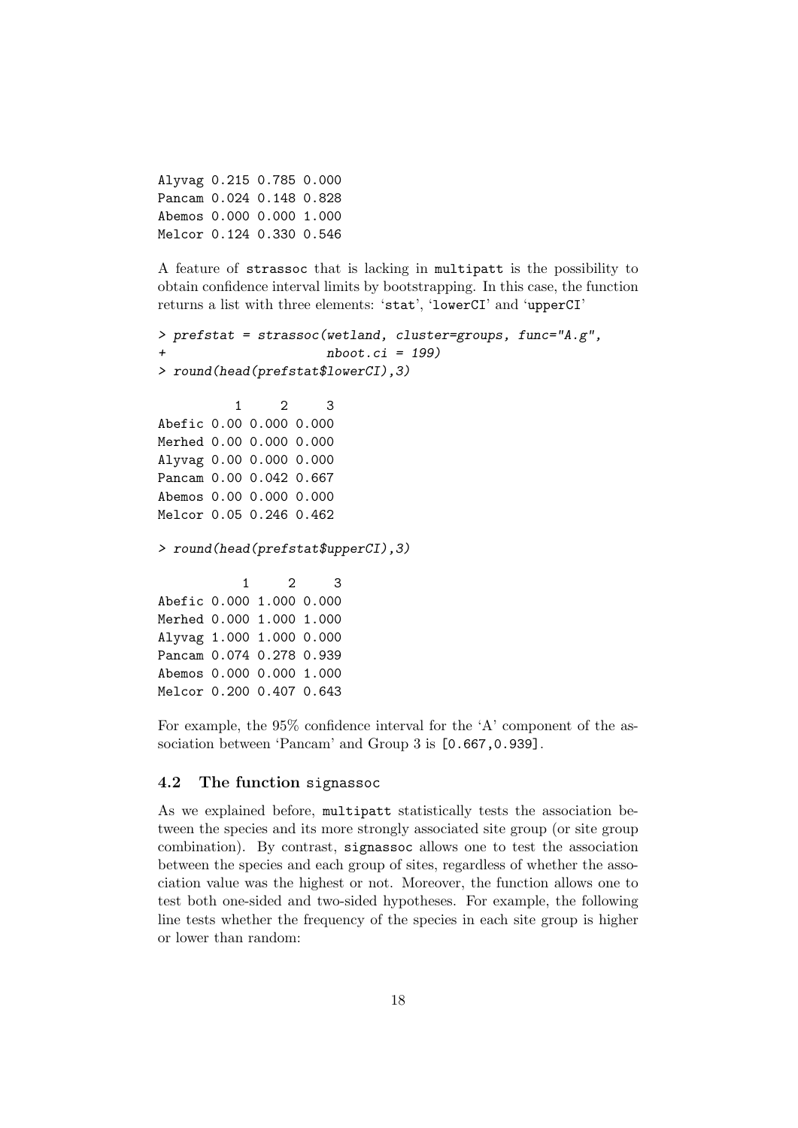Alyvag 0.215 0.785 0.000 Pancam 0.024 0.148 0.828 Abemos 0.000 0.000 1.000 Melcor 0.124 0.330 0.546

A feature of strassoc that is lacking in multipatt is the possibility to obtain confidence interval limits by bootstrapping. In this case, the function returns a list with three elements: 'stat', 'lowerCI' and 'upperCI'

```
> prefstat = strassoc(wetland, cluster=groups, func="A.g",
                     nboot.ci = 199)> round(head(prefstat$lowerCI),3)
          1 2 3
Abefic 0.00 0.000 0.000
Merhed 0.00 0.000 0.000
Alyvag 0.00 0.000 0.000
Pancam 0.00 0.042 0.667
Abemos 0.00 0.000 0.000
Melcor 0.05 0.246 0.462
> round(head(prefstat$upperCI),3)
           1 2 3
Abefic 0.000 1.000 0.000
Merhed 0.000 1.000 1.000
Alyvag 1.000 1.000 0.000
Pancam 0.074 0.278 0.939
Abemos 0.000 0.000 1.000
Melcor 0.200 0.407 0.643
```
For example, the 95% confidence interval for the 'A' component of the association between 'Pancam' and Group 3 is  $[0.667, 0.939]$ .

# 4.2 The function signassoc

As we explained before, multipatt statistically tests the association between the species and its more strongly associated site group (or site group combination). By contrast, signassoc allows one to test the association between the species and each group of sites, regardless of whether the association value was the highest or not. Moreover, the function allows one to test both one-sided and two-sided hypotheses. For example, the following line tests whether the frequency of the species in each site group is higher or lower than random: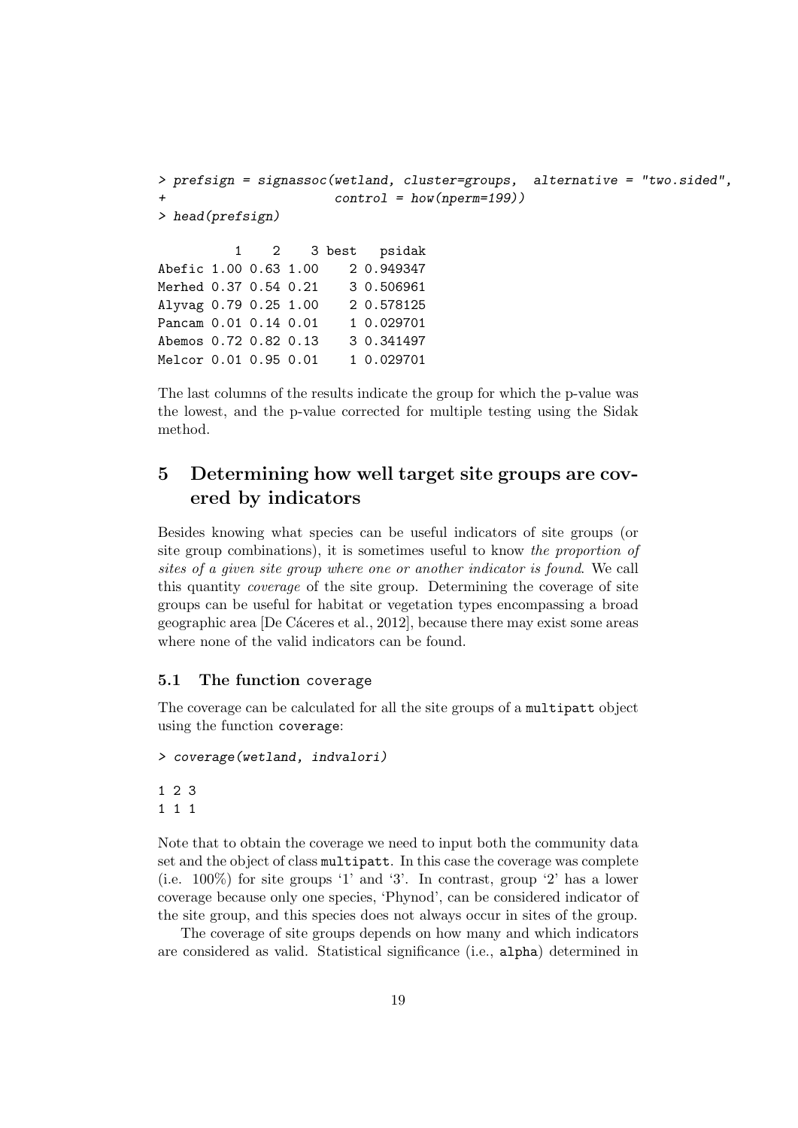```
> prefsign = signassoc(wetland, cluster=groups, alternative = "two.sided",
                     control = how(nperm=199))
> head(prefsign)
         1 2 3 best psidak
Abefic 1.00 0.63 1.00 2 0.949347
Merhed 0.37 0.54 0.21 3 0.506961
Alyvag 0.79 0.25 1.00 2 0.578125
Pancam 0.01 0.14 0.01 1 0.029701
Abemos 0.72 0.82 0.13 3 0.341497
Melcor 0.01 0.95 0.01 1 0.029701
```
The last columns of the results indicate the group for which the p-value was the lowest, and the p-value corrected for multiple testing using the Sidak method.

# 5 Determining how well target site groups are covered by indicators

Besides knowing what species can be useful indicators of site groups (or site group combinations), it is sometimes useful to know the proportion of sites of a given site group where one or another indicator is found. We call this quantity coverage of the site group. Determining the coverage of site groups can be useful for habitat or vegetation types encompassing a broad geographic area [De Cáceres et al., 2012], because there may exist some areas where none of the valid indicators can be found.

## 5.1 The function coverage

The coverage can be calculated for all the site groups of a multipatt object using the function coverage:

```
> coverage(wetland, indvalori)
1 2 3
1 1 1
```
Note that to obtain the coverage we need to input both the community data set and the object of class multipatt. In this case the coverage was complete (i.e. 100%) for site groups '1' and '3'. In contrast, group '2' has a lower coverage because only one species, 'Phynod', can be considered indicator of the site group, and this species does not always occur in sites of the group.

The coverage of site groups depends on how many and which indicators are considered as valid. Statistical significance (i.e., alpha) determined in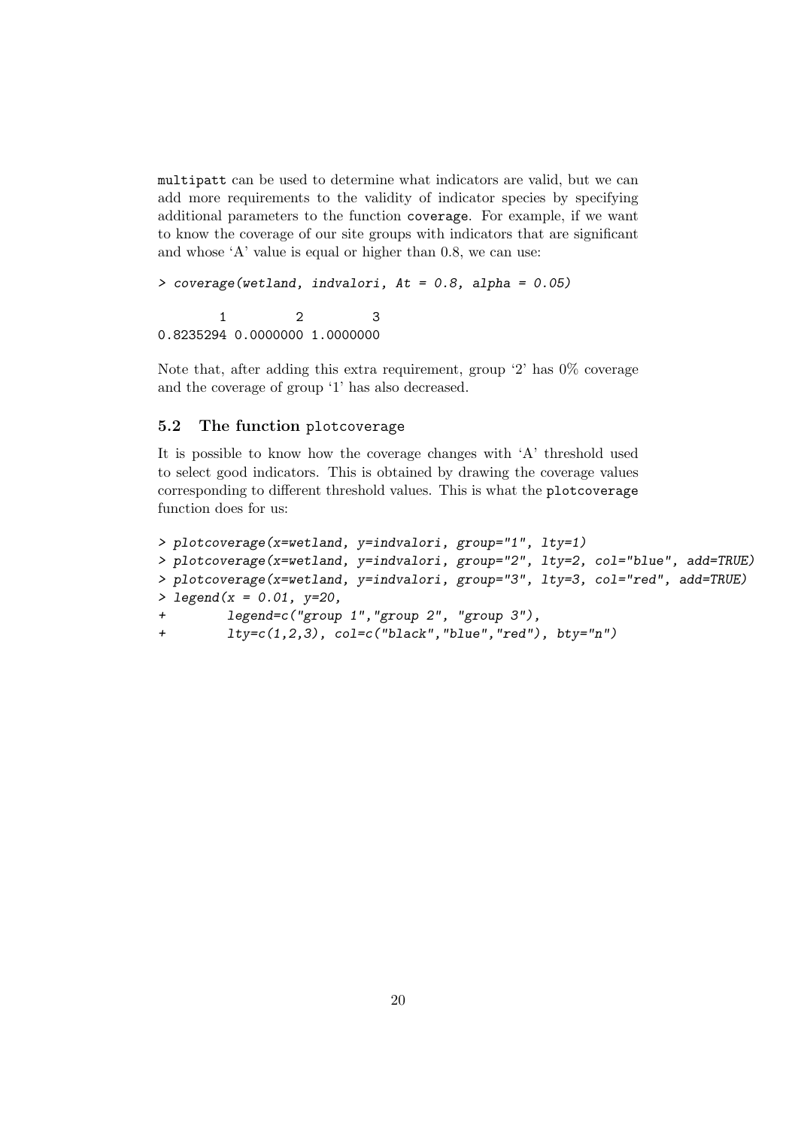multipatt can be used to determine what indicators are valid, but we can add more requirements to the validity of indicator species by specifying additional parameters to the function coverage. For example, if we want to know the coverage of our site groups with indicators that are significant and whose 'A' value is equal or higher than 0.8, we can use:

```
> coverage(wetland, indvalori, At = 0.8, alpha = 0.05)
      1 2 3
```
0.8235294 0.0000000 1.0000000

Note that, after adding this extra requirement, group '2' has 0% coverage and the coverage of group '1' has also decreased.

# 5.2 The function plotcoverage

It is possible to know how the coverage changes with 'A' threshold used to select good indicators. This is obtained by drawing the coverage values corresponding to different threshold values. This is what the plotcoverage function does for us:

```
> plotcoverage(x=wetland, y=indvalori, group="1", lty=1)
> plotcoverage(x=wetland, y=indvalori, group="2", lty=2, col="blue", add=TRUE)
> plotcoverage(x=wetland, y=indvalori, group="3", lty=3, col="red", add=TRUE)
> legend(x = 0.01, y=20,
+ legend=c("group 1","group 2", "group 3"),
+ lty=c(1,2,3), col=c("black","blue","red"), bty="n")
```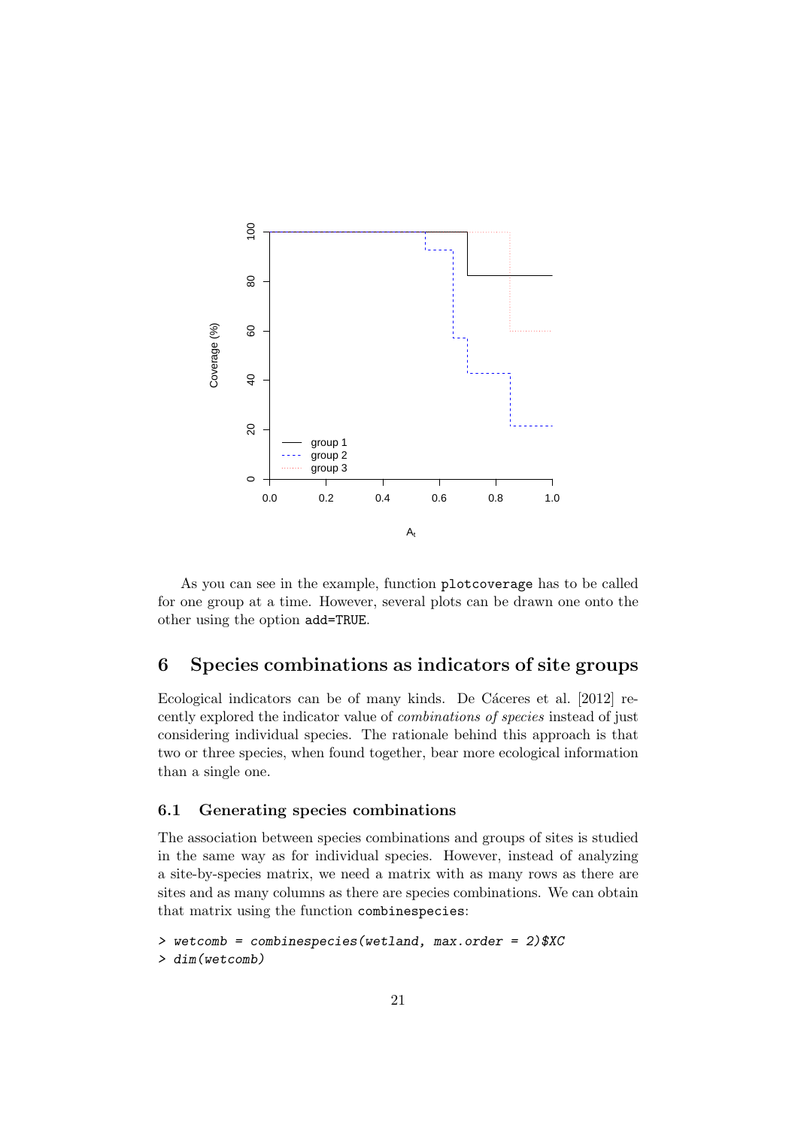

As you can see in the example, function plotcoverage has to be called for one group at a time. However, several plots can be drawn one onto the other using the option add=TRUE.

# 6 Species combinations as indicators of site groups

Ecological indicators can be of many kinds. De Cáceres et al. [2012] recently explored the indicator value of combinations of species instead of just considering individual species. The rationale behind this approach is that two or three species, when found together, bear more ecological information than a single one.

## 6.1 Generating species combinations

The association between species combinations and groups of sites is studied in the same way as for individual species. However, instead of analyzing a site-by-species matrix, we need a matrix with as many rows as there are sites and as many columns as there are species combinations. We can obtain that matrix using the function combinespecies:

```
> wetcomb = combinespecies(wetland, max.order = 2)$XC
> dim(wetcomb)
```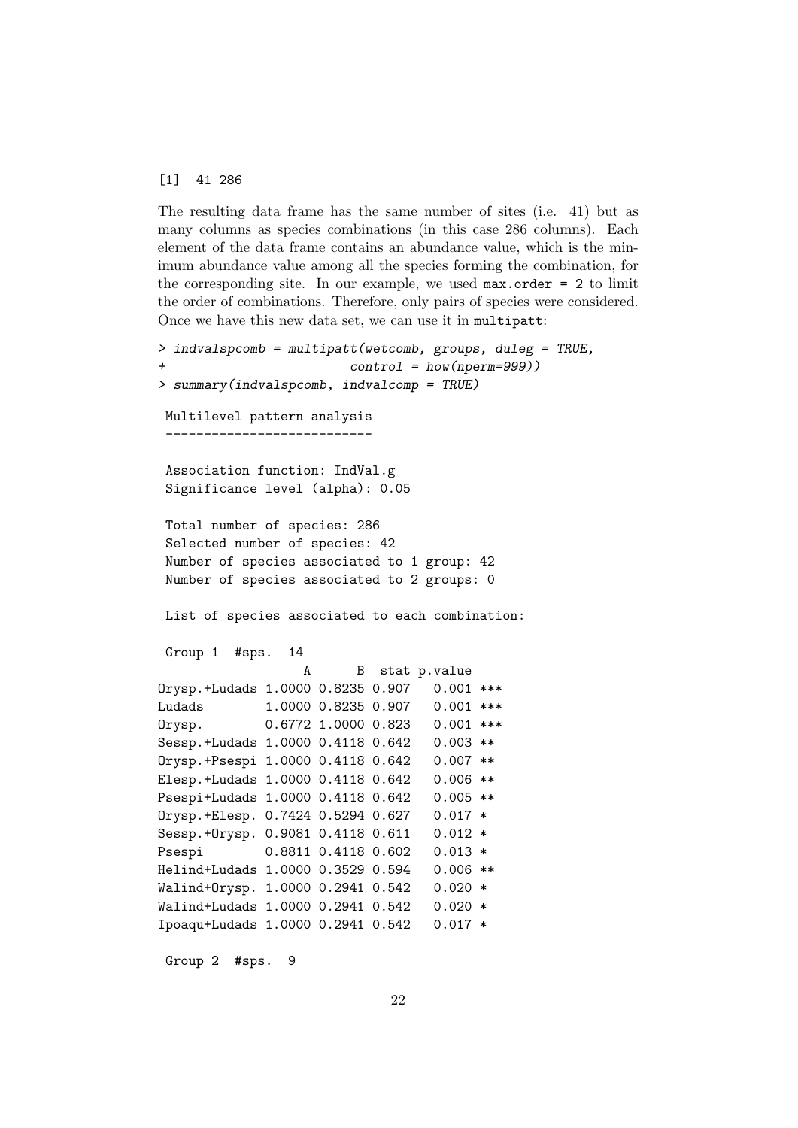#### [1] 41 286

The resulting data frame has the same number of sites (i.e. 41) but as many columns as species combinations (in this case 286 columns). Each element of the data frame contains an abundance value, which is the minimum abundance value among all the species forming the combination, for the corresponding site. In our example, we used  $max.order = 2$  to limit the order of combinations. Therefore, only pairs of species were considered. Once we have this new data set, we can use it in multipatt:

```
> indvalspcomb = multipatt(wetcomb, groups, duleg = TRUE,
+ control = how(nperm=999))
> summary(indvalspcomb, indvalcomp = TRUE)
Multilevel pattern analysis
 ---------------------------
Association function: IndVal.g
Significance level (alpha): 0.05
Total number of species: 286
Selected number of species: 42
Number of species associated to 1 group: 42
Number of species associated to 2 groups: 0
List of species associated to each combination:
Group 1 #sps. 14
                  A B stat p.value
Orysp.+Ludads 1.0000 0.8235 0.907 0.001 ***
Ludads 1.0000 0.8235 0.907 0.001 ***
Orysp. 0.6772 1.0000 0.823 0.001 ***
Sessp.+Ludads 1.0000 0.4118 0.642 0.003 **
Orysp.+Psespi 1.0000 0.4118 0.642 0.007 **
Elesp.+Ludads 1.0000 0.4118 0.642 0.006 **
Psespi+Ludads 1.0000 0.4118 0.642 0.005 **
Orysp.+Elesp. 0.7424 0.5294 0.627 0.017 *
Sessp.+Orysp. 0.9081 0.4118 0.611 0.012 *
Psespi 0.8811 0.4118 0.602 0.013 *
Helind+Ludads 1.0000 0.3529 0.594 0.006 **
Walind+Orysp. 1.0000 0.2941 0.542 0.020 *
Walind+Ludads 1.0000 0.2941 0.542 0.020 *
Ipoaqu+Ludads 1.0000 0.2941 0.542 0.017 *
```
Group 2 #sps. 9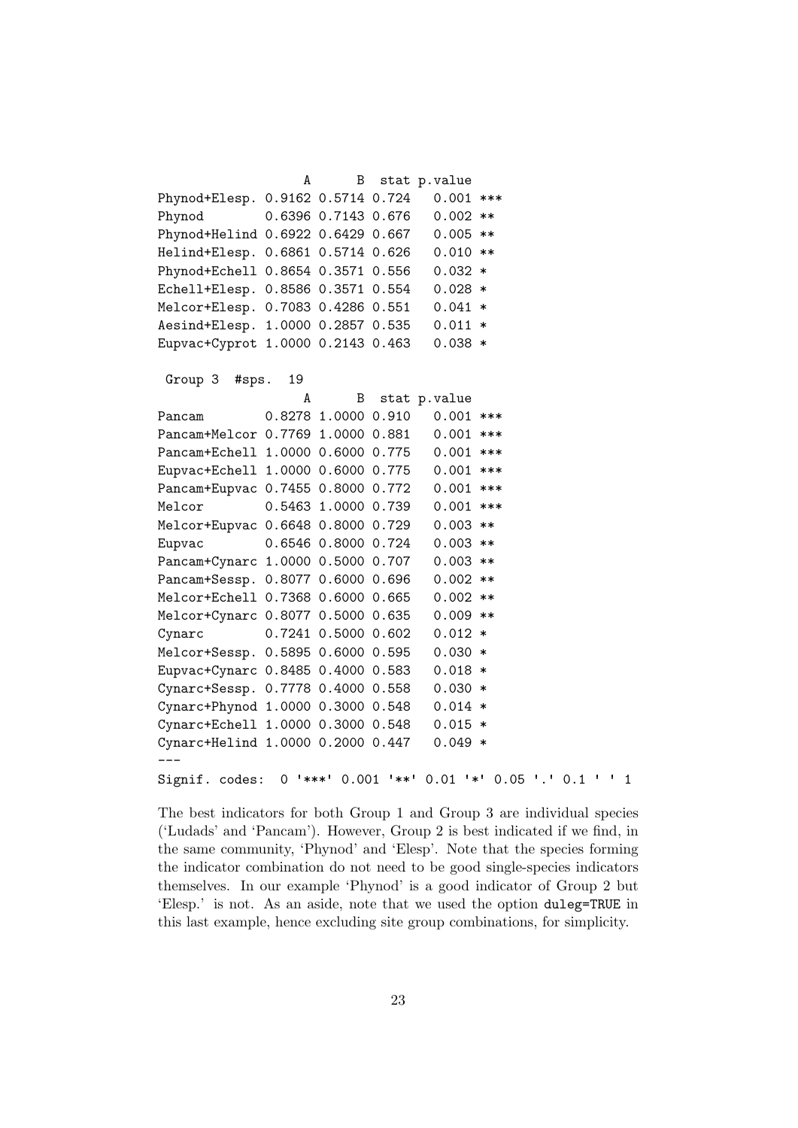A B stat p.value Phynod+Elesp. 0.9162 0.5714 0.724 0.001 \*\*\* Phynod 0.6396 0.7143 0.676 0.002 \*\* Phynod+Helind 0.6922 0.6429 0.667 0.005 \*\* Helind+Elesp. 0.6861 0.5714 0.626 0.010 \*\* Phynod+Echell 0.8654 0.3571 0.556 0.032 \* Echell+Elesp. 0.8586 0.3571 0.554 0.028 \* Melcor+Elesp. 0.7083 0.4286 0.551 0.041 \* Aesind+Elesp. 1.0000 0.2857 0.535 0.011 \* Eupvac+Cyprot 1.0000 0.2143 0.463 0.038 \*

```
Group 3 #sps. 19
```
A B stat p.value Pancam 0.8278 1.0000 0.910 0.001 \*\*\* Pancam+Melcor 0.7769 1.0000 0.881 0.001 \*\*\* Pancam+Echell 1.0000 0.6000 0.775 0.001 \*\*\* Eupvac+Echell 1.0000 0.6000 0.775 0.001 \*\*\* Pancam+Eupvac 0.7455 0.8000 0.772 0.001 \*\*\* Melcor 0.5463 1.0000 0.739 0.001 \*\*\* Melcor+Eupvac 0.6648 0.8000 0.729 0.003 \*\* Eupvac 0.6546 0.8000 0.724 0.003 \*\* Pancam+Cynarc 1.0000 0.5000 0.707 0.003 \*\* Pancam+Sessp. 0.8077 0.6000 0.696 0.002 \*\* Melcor+Echell 0.7368 0.6000 0.665 0.002 \*\* Melcor+Cynarc 0.8077 0.5000 0.635 0.009 \*\* Cynarc 0.7241 0.5000 0.602 0.012 \* Melcor+Sessp. 0.5895 0.6000 0.595 0.030 \* Eupvac+Cynarc 0.8485 0.4000 0.583 0.018 \* Cynarc+Sessp. 0.7778 0.4000 0.558 0.030 \* Cynarc+Phynod 1.0000 0.3000 0.548 0.014 \* Cynarc+Echell 1.0000 0.3000 0.548 0.015 \* Cynarc+Helind 1.0000 0.2000 0.447 0.049 \* --- Signif. codes: 0 '\*\*\*' 0.001 '\*\*' 0.01 '\*' 0.05 '.' 0.1 ' ' <sup>1</sup>

The best indicators for both Group 1 and Group 3 are individual species ('Ludads' and 'Pancam'). However, Group 2 is best indicated if we find, in the same community, 'Phynod' and 'Elesp'. Note that the species forming the indicator combination do not need to be good single-species indicators themselves. In our example 'Phynod' is a good indicator of Group 2 but 'Elesp.' is not. As an aside, note that we used the option duleg=TRUE in this last example, hence excluding site group combinations, for simplicity.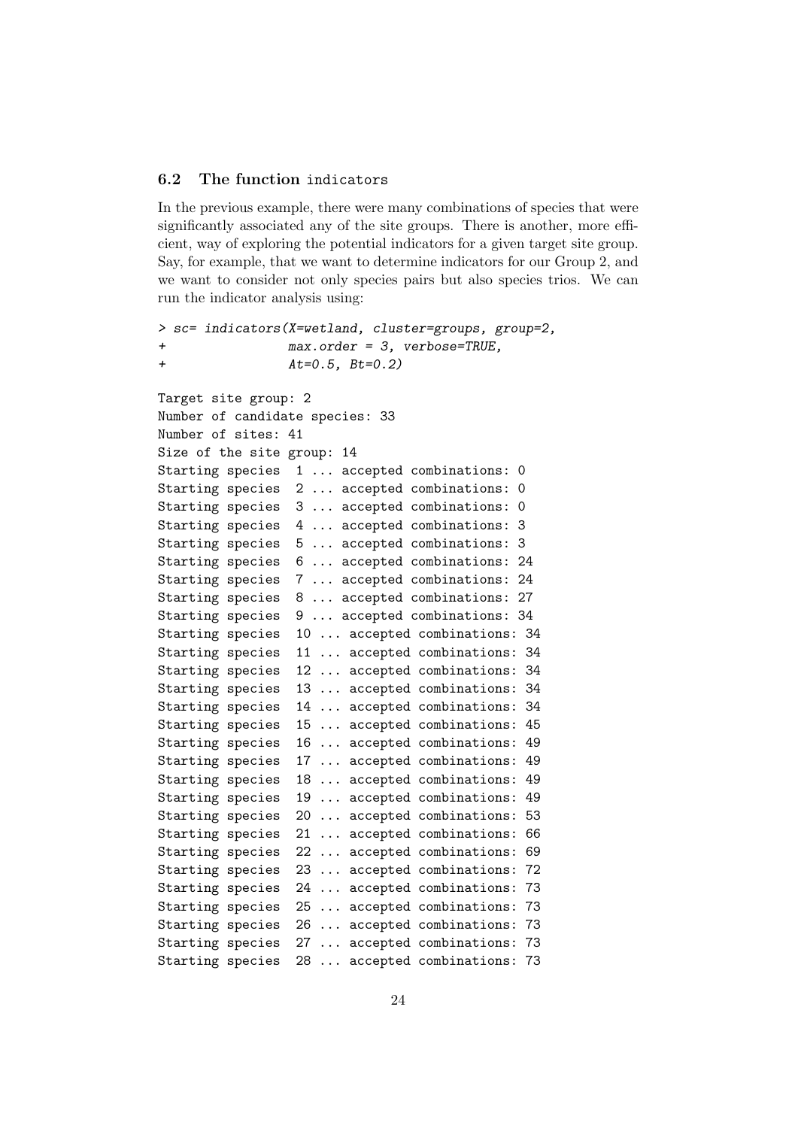## 6.2 The function indicators

In the previous example, there were many combinations of species that were significantly associated any of the site groups. There is another, more efficient, way of exploring the potential indicators for a given target site group. Say, for example, that we want to determine indicators for our Group 2, and we want to consider not only species pairs but also species trios. We can run the indicator analysis using:

```
> sc= indicators(X=wetland, cluster=groups, group=2,
+ max.order = 3, verbose=TRUE,
+ At=0.5, Bt=0.2)
Target site group: 2
Number of candidate species: 33
Number of sites: 41
Size of the site group: 14
Starting species 1 ... accepted combinations: 0
Starting species 2 ... accepted combinations: 0
Starting species 3 ... accepted combinations: 0
Starting species 4 ... accepted combinations: 3
Starting species 5 ... accepted combinations: 3
Starting species 6 ... accepted combinations: 24
Starting species 7 ... accepted combinations: 24
Starting species 8 ... accepted combinations: 27
Starting species 9 ... accepted combinations: 34
Starting species 10 ... accepted combinations: 34
Starting species 11 ... accepted combinations: 34
Starting species 12 ... accepted combinations: 34
Starting species 13 ... accepted combinations: 34
Starting species 14 ... accepted combinations: 34
Starting species 15 ... accepted combinations: 45
Starting species 16 ... accepted combinations: 49
Starting species 17 ... accepted combinations: 49
Starting species 18 ... accepted combinations: 49
Starting species 19 ... accepted combinations: 49
Starting species 20 ... accepted combinations: 53
Starting species 21 ... accepted combinations: 66
Starting species 22 ... accepted combinations: 69
Starting species 23 ... accepted combinations: 72
Starting species 24 ... accepted combinations: 73
Starting species 25 ... accepted combinations: 73
Starting species 26 ... accepted combinations: 73
Starting species 27 ... accepted combinations: 73
Starting species 28 ... accepted combinations: 73
```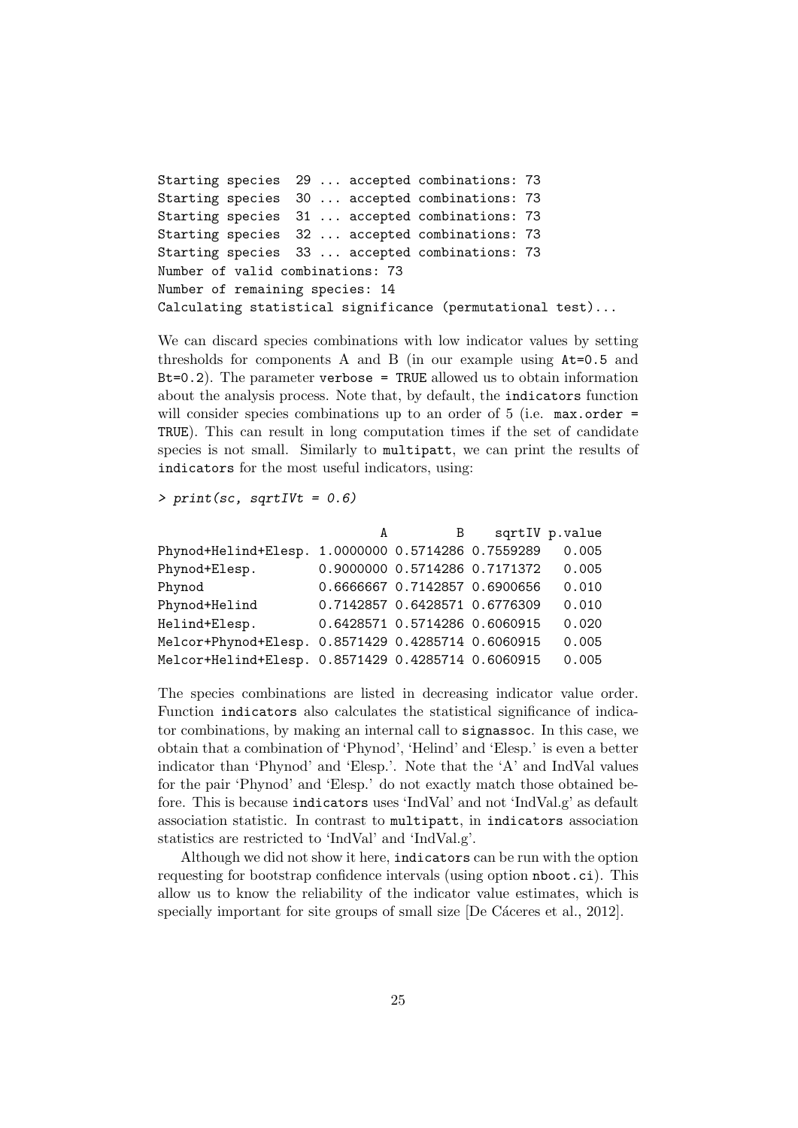```
Starting species 29 ... accepted combinations: 73
Starting species 30 ... accepted combinations: 73
Starting species 31 ... accepted combinations: 73
Starting species 32 ... accepted combinations: 73
Starting species 33 ... accepted combinations: 73
Number of valid combinations: 73
Number of remaining species: 14
Calculating statistical significance (permutational test)...
```
We can discard species combinations with low indicator values by setting thresholds for components A and B (in our example using At=0.5 and  $Bt=0.2$ ). The parameter verbose = TRUE allowed us to obtain information about the analysis process. Note that, by default, the indicators function will consider species combinations up to an order of  $5$  (i.e. max.order = TRUE). This can result in long computation times if the set of candidate species is not small. Similarly to multipatt, we can print the results of indicators for the most useful indicators, using:

 $> print(sc, sqrtIVt = 0.6)$ 

|                                                    | A | B                             | sqrtIV p.value |
|----------------------------------------------------|---|-------------------------------|----------------|
| Phynod+Helind+Elesp. 1.0000000 0.5714286 0.7559289 |   |                               | 0.005          |
| Phynod+Elesp.                                      |   | 0.9000000 0.5714286 0.7171372 | 0.005          |
| Phynod                                             |   | 0.6666667 0.7142857 0.6900656 | 0.010          |
| Phynod+Helind                                      |   | 0.7142857 0.6428571 0.6776309 | 0.010          |
| Helind+Elesp.                                      |   | 0.6428571 0.5714286 0.6060915 | 0.020          |
| Melcor+Phynod+Elesp. 0.8571429 0.4285714 0.6060915 |   |                               | 0.005          |
| Melcor+Helind+Elesp. 0.8571429 0.4285714 0.6060915 |   |                               | 0.005          |

The species combinations are listed in decreasing indicator value order. Function indicators also calculates the statistical significance of indicator combinations, by making an internal call to signassoc. In this case, we obtain that a combination of 'Phynod', 'Helind' and 'Elesp.' is even a better indicator than 'Phynod' and 'Elesp.'. Note that the 'A' and IndVal values for the pair 'Phynod' and 'Elesp.' do not exactly match those obtained before. This is because indicators uses 'IndVal' and not 'IndVal.g' as default association statistic. In contrast to multipatt, in indicators association statistics are restricted to 'IndVal' and 'IndVal.g'.

Although we did not show it here, indicators can be run with the option requesting for bootstrap confidence intervals (using option nboot.ci). This allow us to know the reliability of the indicator value estimates, which is specially important for site groups of small size  $[De Cáceres et al., 2012]$ .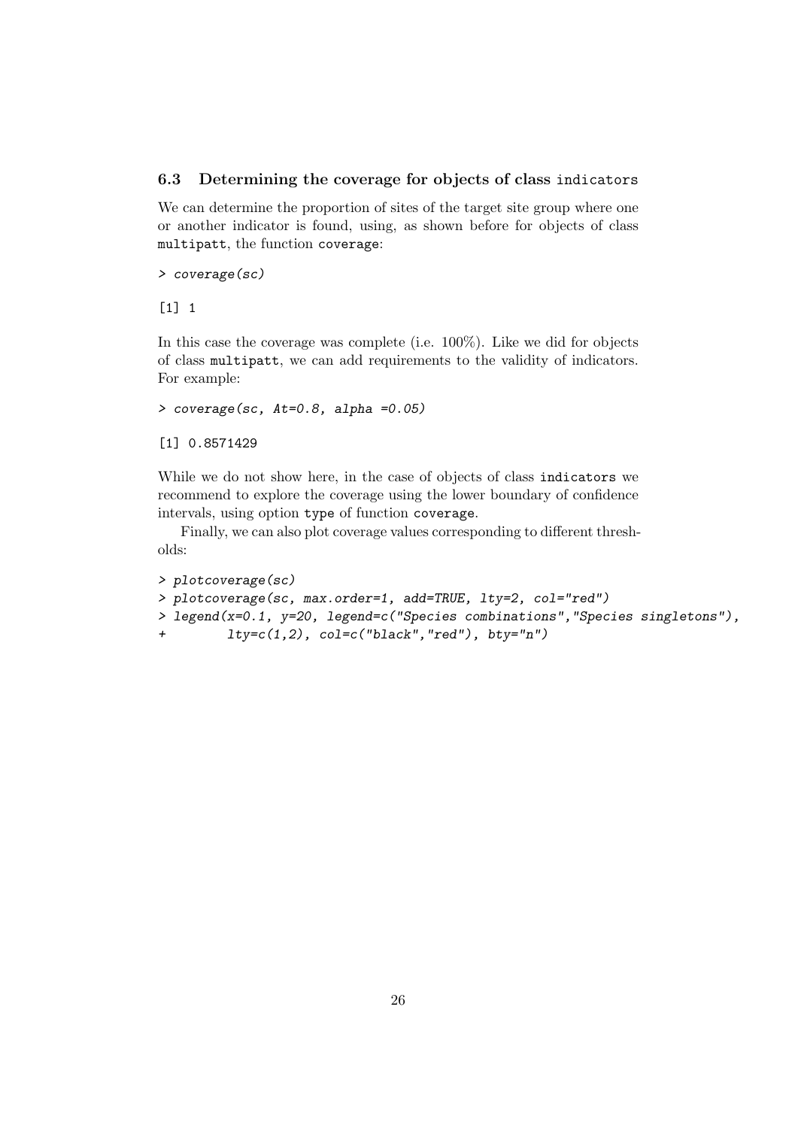## 6.3 Determining the coverage for objects of class indicators

We can determine the proportion of sites of the target site group where one or another indicator is found, using, as shown before for objects of class multipatt, the function coverage:

```
> coverage(sc)
```
[1] 1

In this case the coverage was complete (i.e. 100%). Like we did for objects of class multipatt, we can add requirements to the validity of indicators. For example:

```
> coverage(sc, At=0.8, alpha =0.05)
```

```
[1] 0.8571429
```
While we do not show here, in the case of objects of class indicators we recommend to explore the coverage using the lower boundary of confidence intervals, using option type of function coverage.

Finally, we can also plot coverage values corresponding to different thresholds:

```
> plotcoverage(sc)
> plotcoverage(sc, max.order=1, add=TRUE, lty=2, col="red")
> legend(x=0.1, y=20, legend=c("Species combinations","Species singletons"),
+ lty=c(1,2), col=c("black","red"), bty="n")
```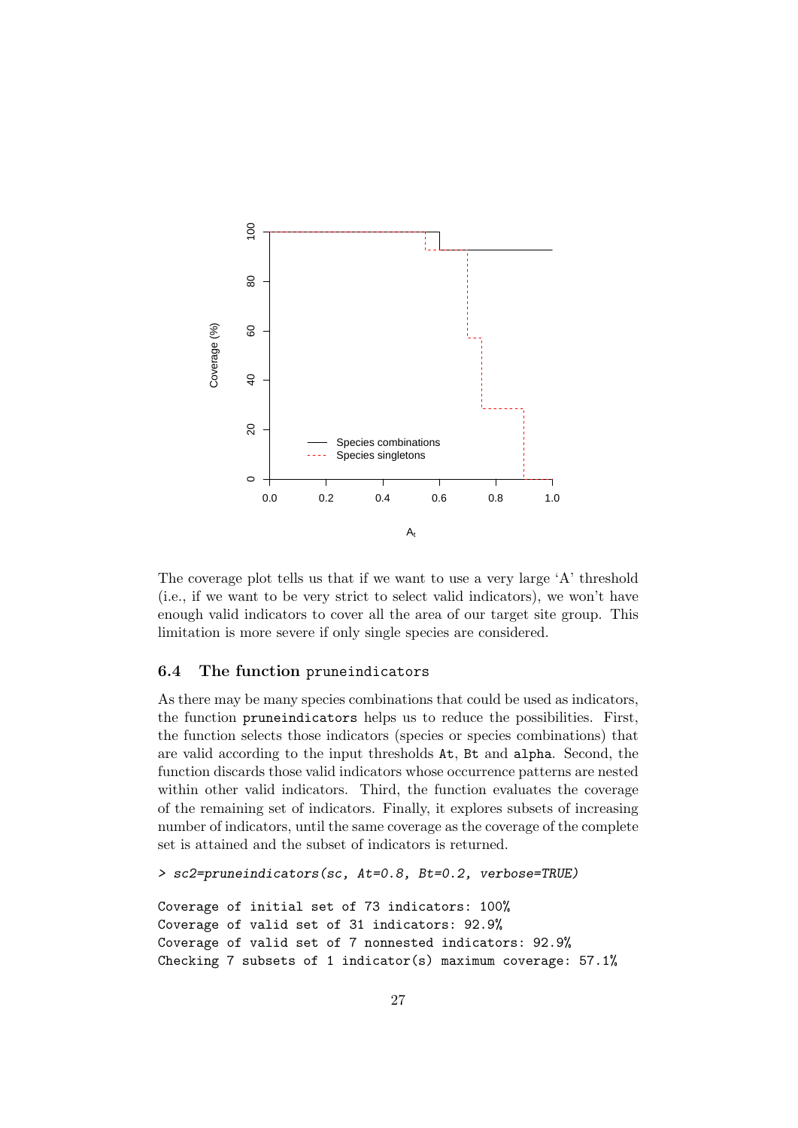

The coverage plot tells us that if we want to use a very large 'A' threshold (i.e., if we want to be very strict to select valid indicators), we won't have enough valid indicators to cover all the area of our target site group. This limitation is more severe if only single species are considered.

# 6.4 The function pruneindicators

As there may be many species combinations that could be used as indicators, the function pruneindicators helps us to reduce the possibilities. First, the function selects those indicators (species or species combinations) that are valid according to the input thresholds At, Bt and alpha. Second, the function discards those valid indicators whose occurrence patterns are nested within other valid indicators. Third, the function evaluates the coverage of the remaining set of indicators. Finally, it explores subsets of increasing number of indicators, until the same coverage as the coverage of the complete set is attained and the subset of indicators is returned.

```
> sc2=pruneindicators(sc, At=0.8, Bt=0.2, verbose=TRUE)
```

```
Coverage of initial set of 73 indicators: 100%
Coverage of valid set of 31 indicators: 92.9%
Coverage of valid set of 7 nonnested indicators: 92.9%
Checking 7 subsets of 1 indicator(s) maximum coverage: 57.1%
```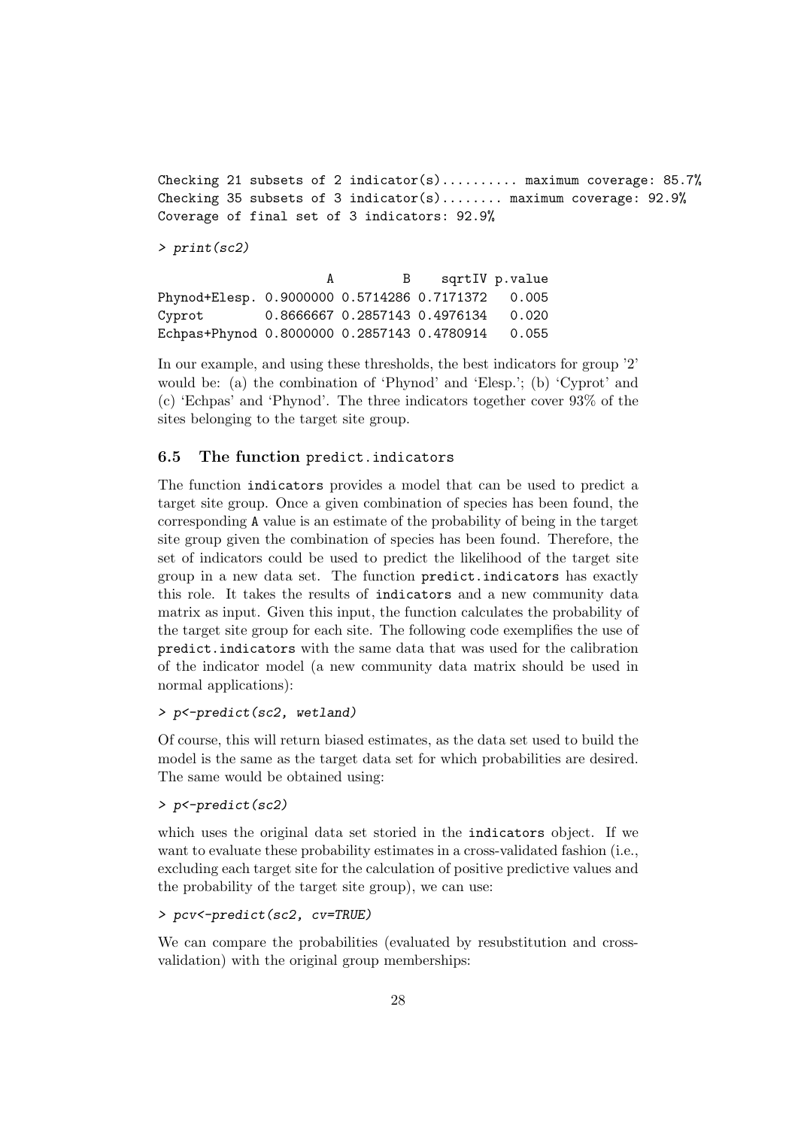Checking 21 subsets of 2 indicator(s).......... maximum coverage:  $85.7%$ Checking 35 subsets of 3 indicator(s)........ maximum coverage:  $92.9%$ Coverage of final set of 3 indicators: 92.9%

> print(sc2)

A B sqrtIV p.value Phynod+Elesp. 0.9000000 0.5714286 0.7171372 0.005 Cyprot 0.8666667 0.2857143 0.4976134 0.020 Echpas+Phynod 0.8000000 0.2857143 0.4780914 0.055

In our example, and using these thresholds, the best indicators for group '2' would be: (a) the combination of 'Phynod' and 'Elesp.'; (b) 'Cyprot' and (c) 'Echpas' and 'Phynod'. The three indicators together cover 93% of the sites belonging to the target site group.

# 6.5 The function predict.indicators

The function indicators provides a model that can be used to predict a target site group. Once a given combination of species has been found, the corresponding A value is an estimate of the probability of being in the target site group given the combination of species has been found. Therefore, the set of indicators could be used to predict the likelihood of the target site group in a new data set. The function predict.indicators has exactly this role. It takes the results of indicators and a new community data matrix as input. Given this input, the function calculates the probability of the target site group for each site. The following code exemplifies the use of predict.indicators with the same data that was used for the calibration of the indicator model (a new community data matrix should be used in normal applications):

### > p<-predict(sc2, wetland)

Of course, this will return biased estimates, as the data set used to build the model is the same as the target data set for which probabilities are desired. The same would be obtained using:

## > p<-predict(sc2)

which uses the original data set storied in the indicators object. If we want to evaluate these probability estimates in a cross-validated fashion (i.e., excluding each target site for the calculation of positive predictive values and the probability of the target site group), we can use:

#### > pcv<-predict(sc2, cv=TRUE)

We can compare the probabilities (evaluated by resubstitution and crossvalidation) with the original group memberships: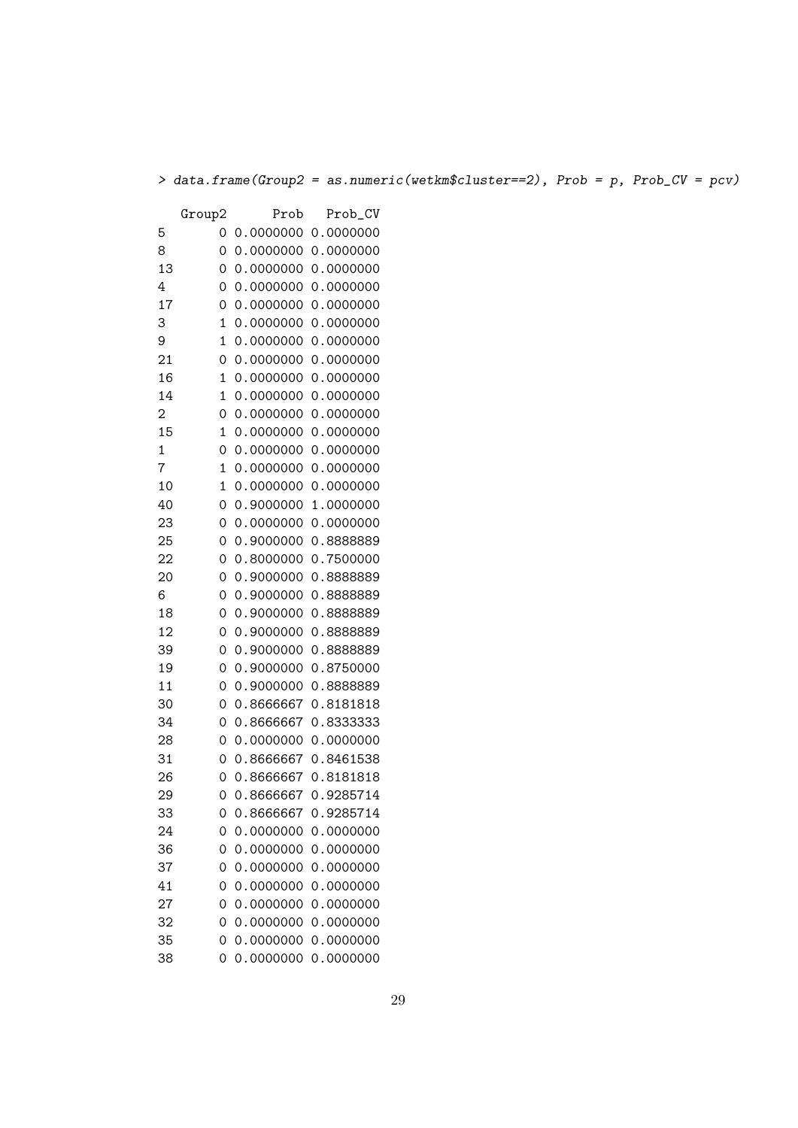> data.frame(Group2 = as.numeric(wetkm\$cluster==2), Prob = p, Prob\_CV = pcv)

|                | Group2 | Prob      | Prob_CV   |
|----------------|--------|-----------|-----------|
| 5              | 0      | 0.0000000 | 0.0000000 |
| 8              | 0      | 0.0000000 | 0.0000000 |
| 13             | 0      | 0.0000000 | 0.0000000 |
| 4              | 0      | 0.0000000 | 0.0000000 |
| 17             | 0      | 0.0000000 | 0.0000000 |
| 3              | 1      | 0.0000000 | 0.0000000 |
| 9              | 1      | 0.0000000 | 0.0000000 |
| 21             | 0      | 0.0000000 | 0.0000000 |
| 16             | 1      | 0.0000000 | 0.0000000 |
| 14             | 1      | 0.0000000 | 0.0000000 |
| $\overline{c}$ | 0      | 0.0000000 | 0.0000000 |
| 15             | 1      | 0.0000000 | 0.0000000 |
| 1              | 0      | 0.0000000 | 0.0000000 |
| 7              | 1      | 0.0000000 | 0.0000000 |
| 10             | 1      | 0.0000000 | 0.0000000 |
| 40             | 0      | 0.9000000 | 1.0000000 |
| 23             | 0      | 0.0000000 | 0.0000000 |
| 25             | 0      | 0.9000000 | 0.8888889 |
| 22             | 0      | 0.8000000 | 0.7500000 |
| 20             | 0      | 0.9000000 | 0.8888889 |
| 6              | 0      | 0.9000000 | 0.8888889 |
| 18             | 0      | 0.9000000 | 0.8888889 |
| 12             | 0      | 0.9000000 | 0.8888889 |
| 39             | 0      | 0.9000000 | 0.8888889 |
| 19             | 0      | 0.9000000 | 0.8750000 |
| 11             | 0      | 0.9000000 | 0.8888889 |
| 30             | 0      | 0.8666667 | 0.8181818 |
| 34             | 0      | 0.8666667 | 0.8333333 |
| 28             | 0      | 0.0000000 | 0.0000000 |
| 31             | 0      | 0.8666667 | 0.8461538 |
| 26             | 0      | 0.8666667 | 0.8181818 |
| 29             | 0      | 0.8666667 | 0.9285714 |
| 33             | 0      | 0.8666667 | 0.9285714 |
| 24             | 0      | 0.0000000 | 0.0000000 |
| 36             | 0      | 0.0000000 | 0.0000000 |
| 37             | 0      | 0.0000000 | 0.0000000 |
| 41             | 0      | 0.0000000 | 0.0000000 |
| 27             | 0      | 0.0000000 | 0.0000000 |
| 32             | 0      | 0.0000000 | 0.0000000 |
| 35             | 0      | 0.0000000 | 0.0000000 |
| 38             | 0      | 0.0000000 | 0.0000000 |